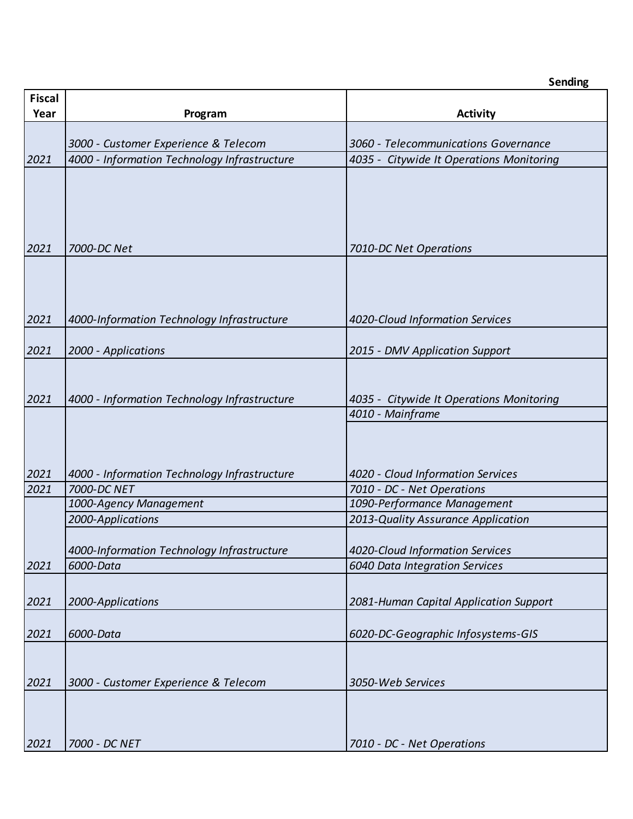| <b>Fiscal</b><br>Year | Program                                                 | <b>Activity</b>                                                   |  |  |
|-----------------------|---------------------------------------------------------|-------------------------------------------------------------------|--|--|
|                       |                                                         |                                                                   |  |  |
|                       | 3000 - Customer Experience & Telecom                    | 3060 - Telecommunications Governance                              |  |  |
| 2021                  | 4000 - Information Technology Infrastructure            | 4035 - Citywide It Operations Monitoring                          |  |  |
|                       |                                                         |                                                                   |  |  |
| 2021                  | 7000-DC Net                                             | 7010-DC Net Operations                                            |  |  |
| 2021                  | 4000-Information Technology Infrastructure              | 4020-Cloud Information Services                                   |  |  |
| 2021                  | 2000 - Applications                                     | 2015 - DMV Application Support                                    |  |  |
| 2021                  | 4000 - Information Technology Infrastructure            | 4035 - Citywide It Operations Monitoring                          |  |  |
| 2021                  | 4000 - Information Technology Infrastructure            | 4010 - Mainframe<br>4020 - Cloud Information Services             |  |  |
| 2021                  | 7000-DC NET                                             | 7010 - DC - Net Operations                                        |  |  |
|                       | 1000-Agency Management                                  | 1090-Performance Management                                       |  |  |
|                       | 2000-Applications                                       | 2013-Quality Assurance Application                                |  |  |
| 2021                  | 4000-Information Technology Infrastructure<br>6000-Data | 4020-Cloud Information Services<br>6040 Data Integration Services |  |  |
| 2021                  | 2000-Applications                                       | 2081-Human Capital Application Support                            |  |  |
| 2021                  | 6000-Data                                               | 6020-DC-Geographic Infosystems-GIS                                |  |  |
| 2021                  | 3000 - Customer Experience & Telecom                    | 3050-Web Services                                                 |  |  |
| 2021                  | 7000 - DC NET                                           | 7010 - DC - Net Operations                                        |  |  |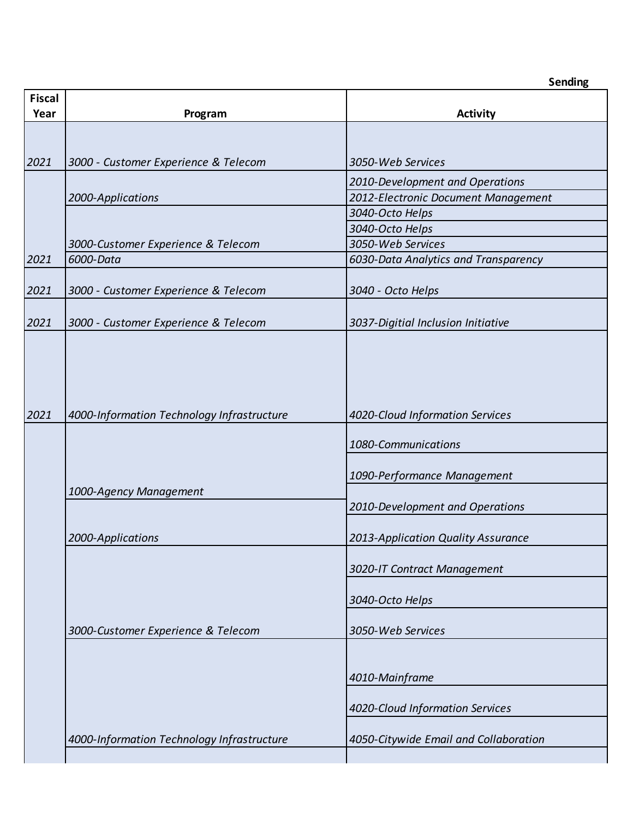| <b>Fiscal</b> |                                            |                                       |
|---------------|--------------------------------------------|---------------------------------------|
| Year          | Program                                    | <b>Activity</b>                       |
|               |                                            |                                       |
|               |                                            |                                       |
| 2021          | 3000 - Customer Experience & Telecom       | 3050-Web Services                     |
|               |                                            | 2010-Development and Operations       |
|               | 2000-Applications                          | 2012-Electronic Document Management   |
|               |                                            | 3040-Octo Helps                       |
|               |                                            | 3040-Octo Helps                       |
|               | 3000-Customer Experience & Telecom         | 3050-Web Services                     |
| 2021          | 6000-Data                                  | 6030-Data Analytics and Transparency  |
|               |                                            |                                       |
| 2021          | 3000 - Customer Experience & Telecom       | 3040 - Octo Helps                     |
|               |                                            |                                       |
| 2021          | 3000 - Customer Experience & Telecom       | 3037-Digitial Inclusion Initiative    |
|               |                                            |                                       |
|               |                                            |                                       |
|               |                                            |                                       |
|               |                                            |                                       |
| 2021          | 4000-Information Technology Infrastructure | 4020-Cloud Information Services       |
|               |                                            | 1080-Communications                   |
|               |                                            |                                       |
|               |                                            | 1090-Performance Management           |
|               | 1000-Agency Management                     |                                       |
|               |                                            | 2010-Development and Operations       |
|               |                                            |                                       |
|               | 2000-Applications                          | 2013-Application Quality Assurance    |
|               |                                            | 3020-IT Contract Management           |
|               |                                            |                                       |
|               |                                            | 3040-Octo Helps                       |
|               |                                            |                                       |
|               | 3000-Customer Experience & Telecom         | 3050-Web Services                     |
|               |                                            |                                       |
|               |                                            |                                       |
|               |                                            | 4010-Mainframe                        |
|               |                                            | 4020-Cloud Information Services       |
|               |                                            |                                       |
|               | 4000-Information Technology Infrastructure | 4050-Citywide Email and Collaboration |
|               |                                            |                                       |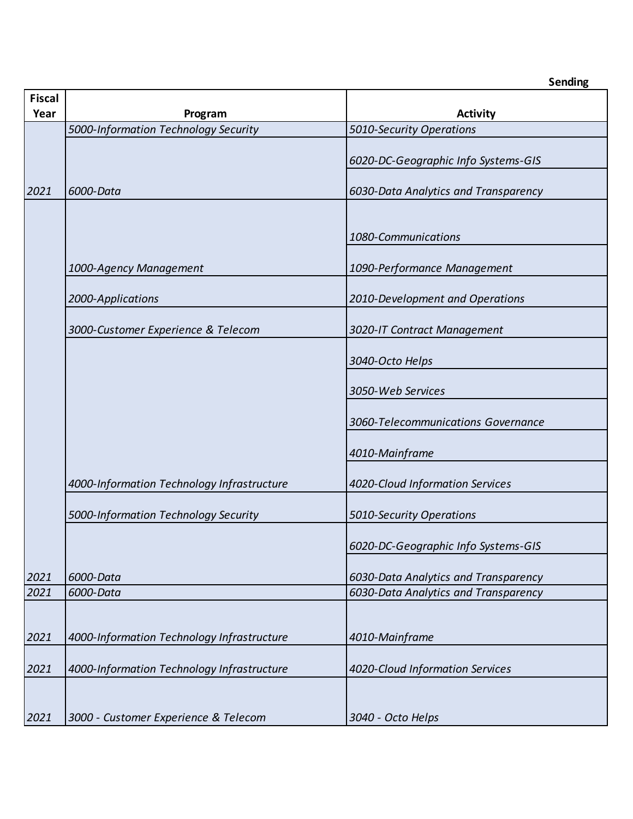| <b>Fiscal</b> |                                            |                                      |  |  |  |
|---------------|--------------------------------------------|--------------------------------------|--|--|--|
| Year          | Program                                    | <b>Activity</b>                      |  |  |  |
|               | 5000-Information Technology Security       | 5010-Security Operations             |  |  |  |
|               |                                            | 6020-DC-Geographic Info Systems-GIS  |  |  |  |
| 2021          | 6000-Data                                  | 6030-Data Analytics and Transparency |  |  |  |
|               |                                            | 1080-Communications                  |  |  |  |
|               | 1000-Agency Management                     | 1090-Performance Management          |  |  |  |
|               | 2000-Applications                          | 2010-Development and Operations      |  |  |  |
|               | 3000-Customer Experience & Telecom         | 3020-IT Contract Management          |  |  |  |
|               |                                            | 3040-Octo Helps                      |  |  |  |
|               |                                            | 3050-Web Services                    |  |  |  |
|               |                                            | 3060-Telecommunications Governance   |  |  |  |
|               |                                            | 4010-Mainframe                       |  |  |  |
|               | 4000-Information Technology Infrastructure | 4020-Cloud Information Services      |  |  |  |
|               | 5000-Information Technology Security       | 5010-Security Operations             |  |  |  |
|               |                                            | 6020-DC-Geographic Info Systems-GIS  |  |  |  |
| 2021          | 6000-Data                                  | 6030-Data Analytics and Transparency |  |  |  |
| 2021          | 6000-Data                                  | 6030-Data Analytics and Transparency |  |  |  |
| 2021          | 4000-Information Technology Infrastructure | 4010-Mainframe                       |  |  |  |
| 2021          | 4000-Information Technology Infrastructure | 4020-Cloud Information Services      |  |  |  |
| 2021          | 3000 - Customer Experience & Telecom       | 3040 - Octo Helps                    |  |  |  |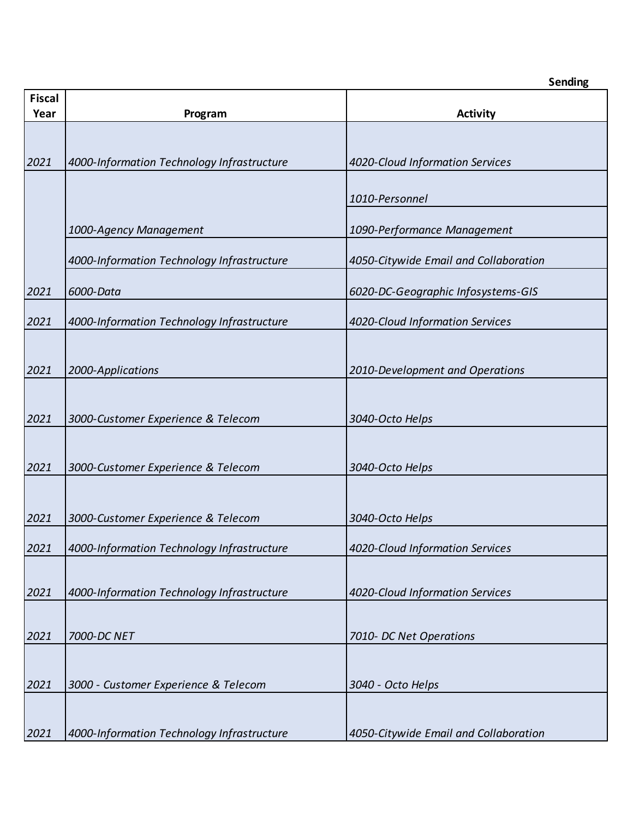| <b>Fiscal</b><br>Year | Program                                    | <b>Activity</b>                       |  |  |
|-----------------------|--------------------------------------------|---------------------------------------|--|--|
|                       |                                            |                                       |  |  |
| 2021                  | 4000-Information Technology Infrastructure | 4020-Cloud Information Services       |  |  |
|                       |                                            | 1010-Personnel                        |  |  |
|                       | 1000-Agency Management                     | 1090-Performance Management           |  |  |
|                       | 4000-Information Technology Infrastructure | 4050-Citywide Email and Collaboration |  |  |
| 2021                  | 6000-Data                                  | 6020-DC-Geographic Infosystems-GIS    |  |  |
| 2021                  | 4000-Information Technology Infrastructure | 4020-Cloud Information Services       |  |  |
| 2021                  | 2000-Applications                          | 2010-Development and Operations       |  |  |
| 2021                  | 3000-Customer Experience & Telecom         | 3040-Octo Helps                       |  |  |
|                       |                                            |                                       |  |  |
| 2021                  | 3000-Customer Experience & Telecom         | 3040-Octo Helps                       |  |  |
| 2021                  | 3000-Customer Experience & Telecom         | 3040-Octo Helps                       |  |  |
| 2021                  | 4000-Information Technology Infrastructure | 4020-Cloud Information Services       |  |  |
| 2021                  | 4000-Information Technology Infrastructure | 4020-Cloud Information Services       |  |  |
| 2021                  | 7000-DC NET                                | 7010- DC Net Operations               |  |  |
| 2021                  | 3000 - Customer Experience & Telecom       | 3040 - Octo Helps                     |  |  |
| 2021                  | 4000-Information Technology Infrastructure | 4050-Citywide Email and Collaboration |  |  |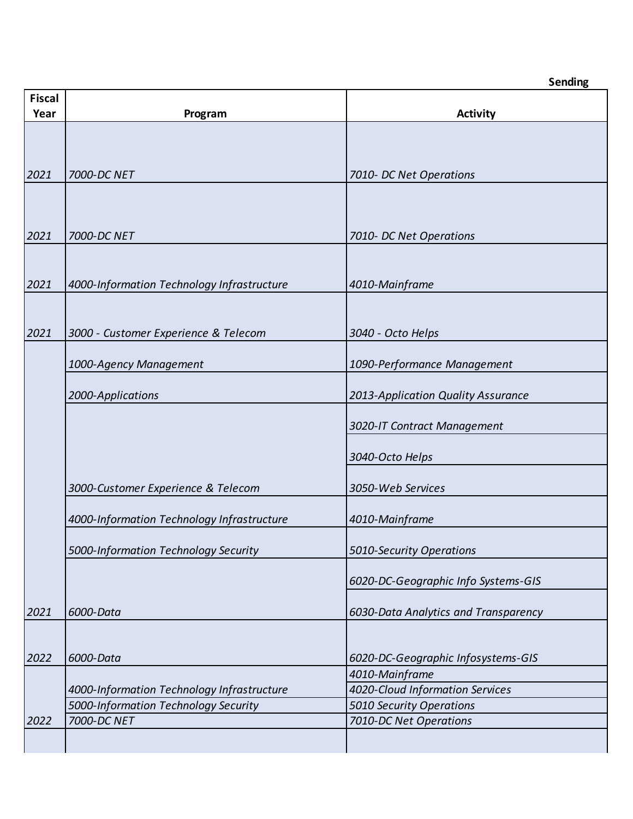| <b>Fiscal</b><br>Year | Program                                    | <b>Activity</b>                      |  |  |
|-----------------------|--------------------------------------------|--------------------------------------|--|--|
|                       |                                            |                                      |  |  |
|                       |                                            |                                      |  |  |
|                       |                                            |                                      |  |  |
| 2021                  | 7000-DC NET                                | 7010- DC Net Operations              |  |  |
|                       |                                            |                                      |  |  |
|                       |                                            |                                      |  |  |
| 2021                  | 7000-DC NET                                | 7010- DC Net Operations              |  |  |
|                       |                                            |                                      |  |  |
|                       |                                            |                                      |  |  |
| 2021                  | 4000-Information Technology Infrastructure | 4010-Mainframe                       |  |  |
|                       |                                            |                                      |  |  |
|                       |                                            |                                      |  |  |
| 2021                  | 3000 - Customer Experience & Telecom       | 3040 - Octo Helps                    |  |  |
|                       | 1000-Agency Management                     | 1090-Performance Management          |  |  |
|                       |                                            |                                      |  |  |
|                       | 2000-Applications                          | 2013-Application Quality Assurance   |  |  |
|                       |                                            |                                      |  |  |
|                       |                                            | 3020-IT Contract Management          |  |  |
|                       |                                            |                                      |  |  |
|                       |                                            | 3040-Octo Helps                      |  |  |
|                       | 3000-Customer Experience & Telecom         | 3050-Web Services                    |  |  |
|                       |                                            |                                      |  |  |
|                       | 4000-Information Technology Infrastructure | 4010-Mainframe                       |  |  |
|                       |                                            |                                      |  |  |
|                       | 5000-Information Technology Security       | 5010-Security Operations             |  |  |
|                       |                                            |                                      |  |  |
|                       |                                            | 6020-DC-Geographic Info Systems-GIS  |  |  |
| 2021                  | 6000-Data                                  | 6030-Data Analytics and Transparency |  |  |
|                       |                                            |                                      |  |  |
|                       |                                            |                                      |  |  |
| 2022                  | 6000-Data                                  | 6020-DC-Geographic Infosystems-GIS   |  |  |
|                       |                                            | 4010-Mainframe                       |  |  |
|                       | 4000-Information Technology Infrastructure | 4020-Cloud Information Services      |  |  |
|                       | 5000-Information Technology Security       | 5010 Security Operations             |  |  |
| 2022                  | 7000-DC NET                                | 7010-DC Net Operations               |  |  |
|                       |                                            |                                      |  |  |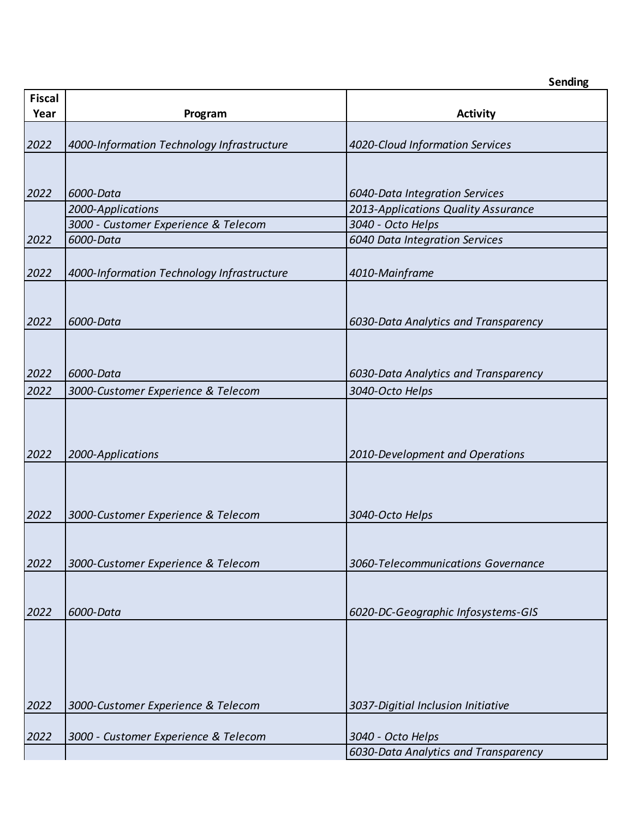| <b>Fiscal</b><br>Year | Program                                    | <b>Activity</b>                      |  |  |
|-----------------------|--------------------------------------------|--------------------------------------|--|--|
|                       |                                            |                                      |  |  |
| 2022                  | 4000-Information Technology Infrastructure | 4020-Cloud Information Services      |  |  |
|                       |                                            |                                      |  |  |
|                       |                                            |                                      |  |  |
| 2022                  | 6000-Data                                  | 6040-Data Integration Services       |  |  |
|                       | 2000-Applications                          | 2013-Applications Quality Assurance  |  |  |
|                       | 3000 - Customer Experience & Telecom       | 3040 - Octo Helps                    |  |  |
| 2022                  | 6000-Data                                  | 6040 Data Integration Services       |  |  |
|                       |                                            |                                      |  |  |
| 2022                  | 4000-Information Technology Infrastructure | 4010-Mainframe                       |  |  |
|                       |                                            |                                      |  |  |
| 2022                  | 6000-Data                                  | 6030-Data Analytics and Transparency |  |  |
|                       |                                            |                                      |  |  |
|                       |                                            |                                      |  |  |
| 2022                  | 6000-Data                                  | 6030-Data Analytics and Transparency |  |  |
| 2022                  | 3000-Customer Experience & Telecom         | 3040-Octo Helps                      |  |  |
|                       |                                            |                                      |  |  |
|                       |                                            |                                      |  |  |
|                       |                                            |                                      |  |  |
| 2022                  | 2000-Applications                          | 2010-Development and Operations      |  |  |
|                       |                                            |                                      |  |  |
|                       |                                            |                                      |  |  |
| 2022                  | 3000-Customer Experience & Telecom         | 3040-Octo Helps                      |  |  |
|                       |                                            |                                      |  |  |
|                       |                                            |                                      |  |  |
| 2022                  | 3000-Customer Experience & Telecom         | 3060-Telecommunications Governance   |  |  |
|                       |                                            |                                      |  |  |
|                       |                                            |                                      |  |  |
| 2022                  | 6000-Data                                  | 6020-DC-Geographic Infosystems-GIS   |  |  |
|                       |                                            |                                      |  |  |
|                       |                                            |                                      |  |  |
|                       |                                            |                                      |  |  |
|                       |                                            |                                      |  |  |
| 2022                  | 3000-Customer Experience & Telecom         | 3037-Digitial Inclusion Initiative   |  |  |
|                       |                                            |                                      |  |  |
| 2022                  | 3000 - Customer Experience & Telecom       | 3040 - Octo Helps                    |  |  |
|                       |                                            | 6030-Data Analytics and Transparency |  |  |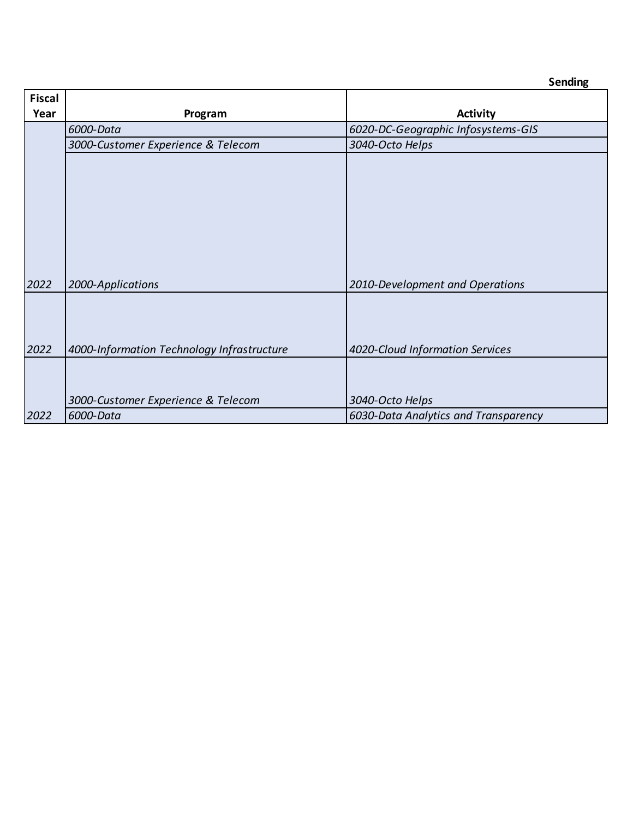| <b>Fiscal</b> |                                            |                                      |
|---------------|--------------------------------------------|--------------------------------------|
| Year          | Program                                    | <b>Activity</b>                      |
|               | 6000-Data                                  | 6020-DC-Geographic Infosystems-GIS   |
|               | 3000-Customer Experience & Telecom         | 3040-Octo Helps                      |
| 2022          | 2000-Applications                          | 2010-Development and Operations      |
| 2022          | 4000-Information Technology Infrastructure | 4020-Cloud Information Services      |
|               | 3000-Customer Experience & Telecom         | 3040-Octo Helps                      |
| 2022          | 6000-Data                                  | 6030-Data Analytics and Transparency |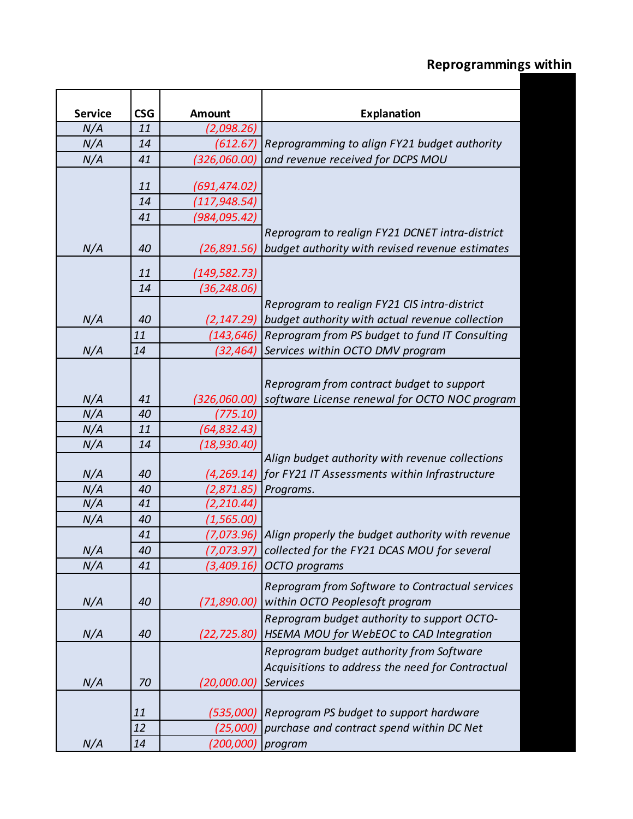| <b>Service</b> | <b>CSG</b> | <b>Amount</b>   | <b>Explanation</b>                                            |
|----------------|------------|-----------------|---------------------------------------------------------------|
| N/A            | 11         | (2,098.26)      |                                                               |
| N/A            | 14         | (612.67)        | Reprogramming to align FY21 budget authority                  |
| N/A            | 41         | (326,060.00)    | and revenue received for DCPS MOU                             |
|                |            |                 |                                                               |
|                | 11         | (691,474.02)    |                                                               |
|                | 14         | (117,948.54)    |                                                               |
|                | 41         | (984,095.42)    |                                                               |
|                |            |                 | Reprogram to realign FY21 DCNET intra-district                |
| N/A            | 40         | (26,891.56)     | budget authority with revised revenue estimates               |
|                |            |                 |                                                               |
|                | 11         | (149,582.73)    |                                                               |
|                | 14         | (36,248.06)     |                                                               |
|                |            |                 | Reprogram to realign FY21 CIS intra-district                  |
| N/A            | 40         | (2, 147.29)     | budget authority with actual revenue collection               |
|                | 11         | (143, 646)      | Reprogram from PS budget to fund IT Consulting                |
| N/A            | 14         | (32,464)        | Services within OCTO DMV program                              |
|                |            |                 |                                                               |
|                |            |                 | Reprogram from contract budget to support                     |
| N/A            | 41         | (326,060.00)    | software License renewal for OCTO NOC program                 |
| N/A            | 40         | (775.10)        |                                                               |
|                | 11         |                 |                                                               |
| N/A            |            | (64, 832.43)    |                                                               |
| N/A            | 14         | (18, 930.40)    | Align budget authority with revenue collections               |
|                | 40         |                 |                                                               |
| N/A            |            | (4, 269.14)     | for FY21 IT Assessments within Infrastructure                 |
| N/A            | 40         | (2,871.85)      | Programs.                                                     |
| N/A            | 41         | (2,210.44)      |                                                               |
| N/A            | 40         | (1, 565.00)     |                                                               |
|                | 41         |                 | $(7,073.96)$ Align properly the budget authority with revenue |
| N/A            | 40         |                 | (7,073.97) collected for the FY21 DCAS MOU for several        |
| N/A            | 41         | (3,409.16)      | OCTO programs                                                 |
|                |            |                 | Reprogram from Software to Contractual services               |
| N/A            | 40         | (71,890.00)     | within OCTO Peoples of t program                              |
|                |            |                 | Reprogram budget authority to support OCTO-                   |
| N/A            | 40         | (22, 725.80)    | HSEMA MOU for WebEOC to CAD Integration                       |
|                |            |                 | Reprogram budget authority from Software                      |
|                |            |                 | Acquisitions to address the need for Contractual              |
| N/A            | 70         | (20,000.00)     | <b>Services</b>                                               |
|                |            |                 |                                                               |
|                | 11         | (535,000)       | Reprogram PS budget to support hardware                       |
|                | 12         | <i>(25,000)</i> | purchase and contract spend within DC Net                     |
|                |            |                 |                                                               |
| N/A            | 14         | (200,000)       | program                                                       |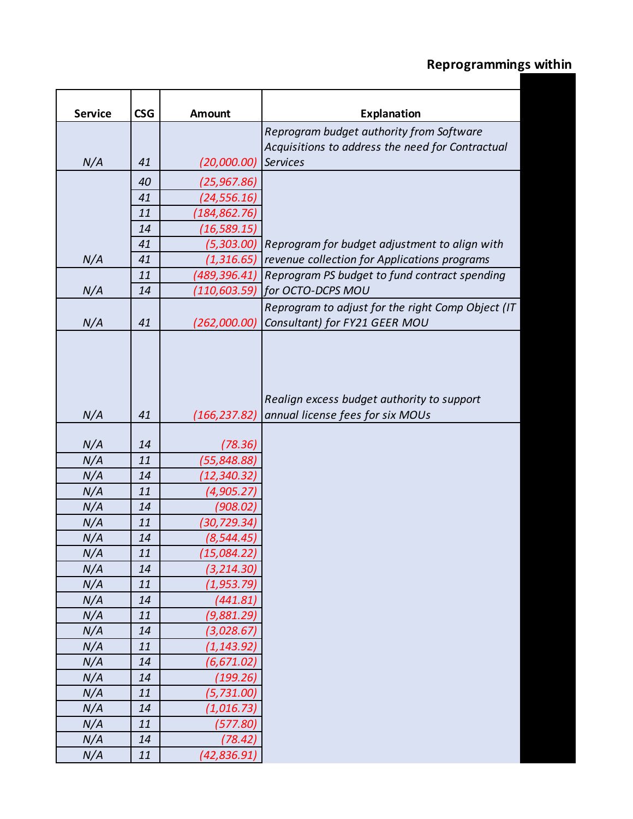| <b>Service</b> | <b>CSG</b> | Amount       | Explanation                                                                    |
|----------------|------------|--------------|--------------------------------------------------------------------------------|
|                |            |              | Reprogram budget authority from Software                                       |
|                |            |              | Acquisitions to address the need for Contractual                               |
| N/A            | 41         | (20,000.00)  | <b>Services</b>                                                                |
|                | 40         | (25,967.86)  |                                                                                |
|                | 41         | (24, 556.16) |                                                                                |
|                | 11         | (184,862.76) |                                                                                |
|                | 14         | (16,589.15)  |                                                                                |
|                | 41         | (5,303.00)   | Reprogram for budget adjustment to align with                                  |
| N/A            | 41         | (1, 316.65)  | revenue collection for Applications programs                                   |
|                | 11         | (489,396.41) | Reprogram PS budget to fund contract spending                                  |
| N/A            | 14         | (110,603.59) | for OCTO-DCPS MOU                                                              |
|                |            |              | Reprogram to adjust for the right Comp Object (IT                              |
| N/A            | 41         | (262,000.00) | Consultant) for FY21 GEER MOU                                                  |
| N/A            | 41         | (166,237.82) | Realign excess budget authority to support<br>annual license fees for six MOUs |
| N/A            | 14         | (78.36)      |                                                                                |
| N/A            | 11         | (55, 848.88) |                                                                                |
| N/A            | 14         | (12, 340.32) |                                                                                |
| N/A            | 11         | (4,905.27)   |                                                                                |
| N/A            | 14         | (908.02)     |                                                                                |
| N/A            | 11         | (30, 729.34) |                                                                                |
| N/A            | 14         | (8,544.45)   |                                                                                |
| N/A            | 11         | (15,084.22)  |                                                                                |
| N/A            | 14         | (3, 214.30)  |                                                                                |
| N/A            | $11\,$     | (1, 953.79)  |                                                                                |
| N/A            | 14         | (441.81)     |                                                                                |
| N/A            | 11         | (9,881.29)   |                                                                                |
| N/A            | 14         | (3,028.67)   |                                                                                |
| N/A            | 11         | (1, 143.92)  |                                                                                |
| N/A            | 14         | (6, 671.02)  |                                                                                |
| N/A            | 14         | (199.26)     |                                                                                |
| N/A            | 11         | (5, 731.00)  |                                                                                |
| N/A            | 14         | (1,016.73)   |                                                                                |
| N/A            | 11         | (577.80)     |                                                                                |
| N/A            | 14         | (78.42)      |                                                                                |
| N/A            | 11         | (42, 836.91) |                                                                                |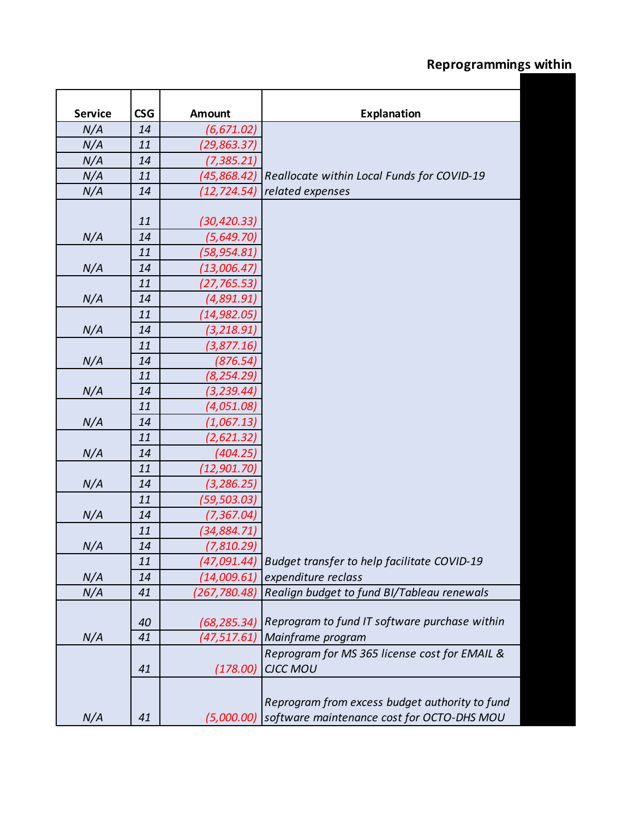| <b>Service</b> | <b>CSG</b> | <b>Amount</b> | <b>Explanation</b>                             |
|----------------|------------|---------------|------------------------------------------------|
| N/A            | 14         | (6, 671.02)   |                                                |
| N/A            | 11         | (29,863.37)   |                                                |
| N/A            | 14         | (7,385.21)    |                                                |
| N/A            | 11         | (45,868.42)   | Reallocate within Local Funds for COVID-19     |
| N/A            | 14         | (12, 724.54)  | related expenses                               |
|                |            |               |                                                |
|                | 11         | (30, 420.33)  |                                                |
| N/A            | 14         | (5,649.70)    |                                                |
|                | 11         | (58,954.81)   |                                                |
| N/A            | 14         | (13,006.47)   |                                                |
|                | 11         | (27,765.53)   |                                                |
| N/A            | 14         | (4,891.91)    |                                                |
|                | 11         | (14,982.05)   |                                                |
| N/A            | 14         | (3, 218.91)   |                                                |
|                | 11         | (3,877.16)    |                                                |
| N/A            | 14         | (876.54)      |                                                |
|                | 11         | (8, 254.29)   |                                                |
| N/A            | 14         | (3,239.44)    |                                                |
|                | 11         | (4,051.08)    |                                                |
| N/A            | 14         | (1,067.13)    |                                                |
|                | 11         | (2,621.32)    |                                                |
| N/A            | 14         | (404.25)      |                                                |
|                | 11         | (12,901.70)   |                                                |
| N/A            | 14         | (3, 286.25)   |                                                |
|                | 11         | (59,503.03)   |                                                |
| N/A            | 14         | (7,367.04)    |                                                |
|                | 11         | (34,884.71)   |                                                |
| N/A            | 14         | (7,810.29)    |                                                |
|                | 11         | (47,091.44)   | Budget transfer to help facilitate COVID-19    |
| N/A            | 14         | (14,009.61)   | expenditure reclass                            |
| N/A            | 41         | (267,780.48)  | Realign budget to fund BI/Tableau renewals     |
|                |            |               |                                                |
|                | 40         | (68,285.34)   | Reprogram to fund IT software purchase within  |
| N/A            | 41         | (47,517.61)   | Mainframe program                              |
|                |            |               | Reprogram for MS 365 license cost for EMAIL &  |
|                | 41         | (178.00)      | <b>CJCC MOU</b>                                |
|                |            |               |                                                |
|                |            |               | Reprogram from excess budget authority to fund |
| N/A            | 41         | (5,000.00)    | software maintenance cost for OCTO-DHS MOU     |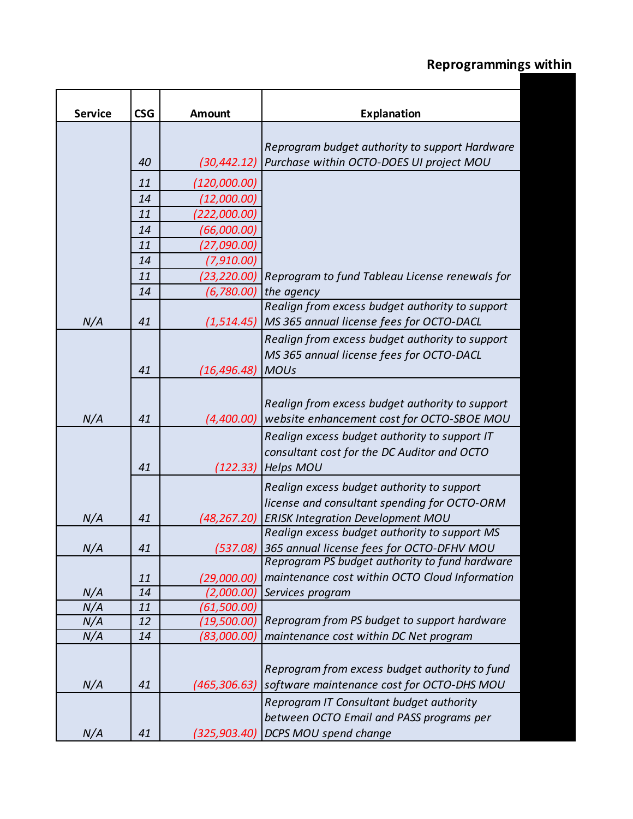| <b>Service</b> | <b>CSG</b> | <b>Amount</b> | <b>Explanation</b>                                                                       |
|----------------|------------|---------------|------------------------------------------------------------------------------------------|
|                |            |               |                                                                                          |
|                |            |               | Reprogram budget authority to support Hardware                                           |
|                | 40         | (30, 442.12)  | Purchase within OCTO-DOES UI project MOU                                                 |
|                | 11         | (120,000.00)  |                                                                                          |
|                | 14         | (12,000.00)   |                                                                                          |
|                | 11         | (222,000.00)  |                                                                                          |
|                | 14         | (66,000.00)   |                                                                                          |
|                | 11         | (27,090.00)   |                                                                                          |
|                | 14         | (7,910.00)    |                                                                                          |
|                | 11         | (23,220.00)   | Reprogram to fund Tableau License renewals for                                           |
|                | 14         | (6,780.00)    | the agency                                                                               |
|                |            |               | Realign from excess budget authority to support                                          |
| N/A            | 41         | (1,514.45)    | MS 365 annual license fees for OCTO-DACL                                                 |
|                |            |               | Realign from excess budget authority to support                                          |
|                |            |               | MS 365 annual license fees for OCTO-DACL                                                 |
|                | 41         | (16, 496.48)  | <b>MOUs</b>                                                                              |
|                |            |               |                                                                                          |
|                |            |               | Realign from excess budget authority to support                                          |
| N/A            | 41         | (4,400.00)    | website enhancement cost for OCTO-SBOE MOU                                               |
|                |            |               | Realign excess budget authority to support IT                                            |
|                |            |               | consultant cost for the DC Auditor and OCTO                                              |
|                | 41         | (122.33)      | <b>Helps MOU</b>                                                                         |
|                |            |               |                                                                                          |
|                |            |               | Realign excess budget authority to support                                               |
|                | 41         |               | license and consultant spending for OCTO-ORM<br><b>ERISK Integration Development MOU</b> |
| N/A            |            | (48,267.20)   | Realign excess budget authority to support MS                                            |
| N/A            | 41         | (537.08)      | 365 annual license fees for OCTO-DFHV MOU                                                |
|                |            |               | Reprogram PS budget authority to fund hardware                                           |
|                | 11         | (29,000.00)   | maintenance cost within OCTO Cloud Information                                           |
| N/A            | 14         | (2,000.00)    | Services program                                                                         |
| N/A            | 11         | (61,500.00)   |                                                                                          |
| N/A            | 12         | (19,500.00)   | Reprogram from PS budget to support hardware                                             |
| N/A            | 14         | (83,000.00)   | maintenance cost within DC Net program                                                   |
|                |            |               |                                                                                          |
|                |            |               | Reprogram from excess budget authority to fund                                           |
| N/A            | 41         | (465, 306.63) | software maintenance cost for OCTO-DHS MOU                                               |
|                |            |               | Reprogram IT Consultant budget authority                                                 |
|                |            |               | between OCTO Email and PASS programs per                                                 |
| N/A            | 41         | (325, 903.40) | <b>DCPS MOU spend change</b>                                                             |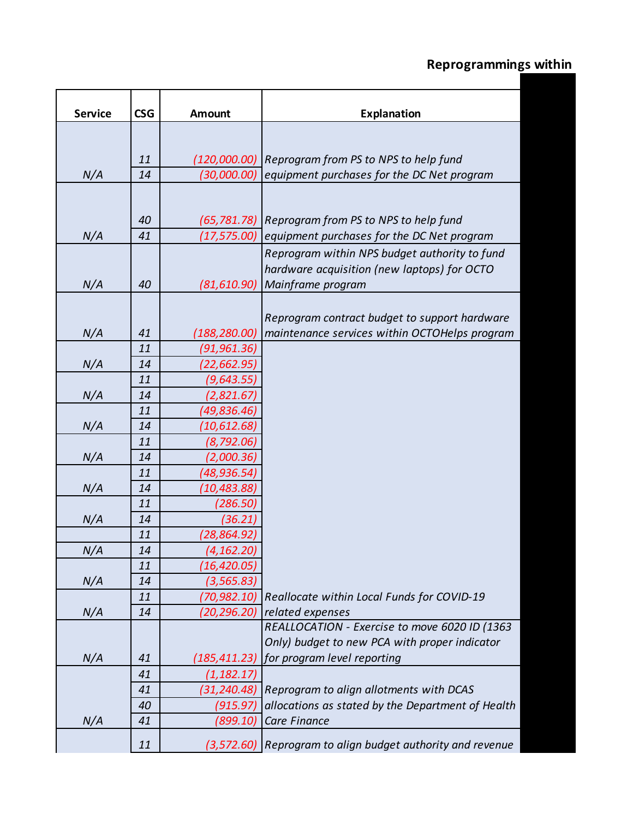| <b>Service</b> | <b>CSG</b> | <b>Amount</b> | <b>Explanation</b>                                                |
|----------------|------------|---------------|-------------------------------------------------------------------|
|                |            |               |                                                                   |
|                |            |               |                                                                   |
|                | 11         | (120,000.00)  | Reprogram from PS to NPS to help fund                             |
| N/A            | 14         | (30,000.00)   | equipment purchases for the DC Net program                        |
|                |            |               |                                                                   |
|                |            |               |                                                                   |
|                | 40         | (65, 781.78)  | Reprogram from PS to NPS to help fund                             |
| N/A            | 41         | (17,575.00)   | equipment purchases for the DC Net program                        |
|                |            |               | Reprogram within NPS budget authority to fund                     |
|                |            |               | hardware acquisition (new laptops) for OCTO                       |
| N/A            | 40         | (81, 610.90)  | Mainframe program                                                 |
|                |            |               |                                                                   |
|                |            |               | Reprogram contract budget to support hardware                     |
| N/A            | 41         | (188, 280.00) | maintenance services within OCTOHelps program                     |
|                | 11         | (91,961.36)   |                                                                   |
| N/A            | 14         | (22,662.95)   |                                                                   |
|                | 11         | (9,643.55)    |                                                                   |
| N/A            | 14         | (2,821.67)    |                                                                   |
|                | 11         | (49,836.46)   |                                                                   |
| N/A            | 14         | (10,612.68)   |                                                                   |
|                | 11         | (8,792.06)    |                                                                   |
| N/A            | 14         | (2,000.36)    |                                                                   |
|                | 11         | (48,936.54)   |                                                                   |
| N/A            | 14         | (10,483.88)   |                                                                   |
|                | 11         | (286.50)      |                                                                   |
| N/A            | 14         | (36.21)       |                                                                   |
|                | 11         | (28,864.92)   |                                                                   |
| N/A            | 14         | (4, 162.20)   |                                                                   |
|                | 11         | (16,420.05)   |                                                                   |
| N/A            | 14         | (3, 565.83)   |                                                                   |
|                | 11         | (70,982.10)   | Reallocate within Local Funds for COVID-19                        |
| N/A            | 14         | (20, 296.20)  | related expenses<br>REALLOCATION - Exercise to move 6020 ID (1363 |
|                |            |               | Only) budget to new PCA with proper indicator                     |
| N/A            | 41         | (185,411.23)  | for program level reporting                                       |
|                | 41         | (1, 182.17)   |                                                                   |
|                | 41         | (31, 240.48)  | Reprogram to align allotments with DCAS                           |
|                | 40         | (915.97)      | allocations as stated by the Department of Health                 |
| N/A            | 41         | (899.10)      | Care Finance                                                      |
|                |            |               |                                                                   |
|                | 11         |               | (3,572.60) Reprogram to align budget authority and revenue        |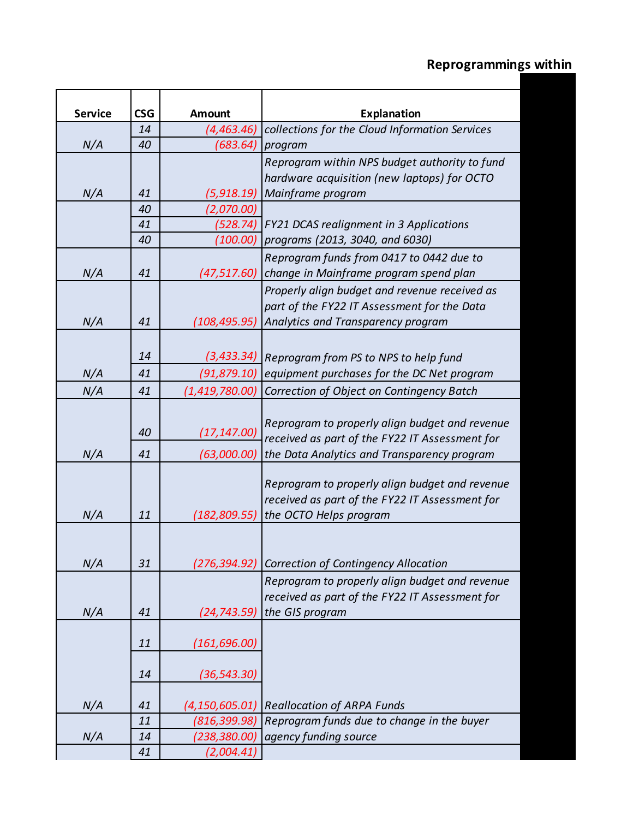| <b>Service</b> | <b>CSG</b> | <b>Amount</b>                    | <b>Explanation</b>                                                              |
|----------------|------------|----------------------------------|---------------------------------------------------------------------------------|
|                | 14         | (4,463.46)                       | collections for the Cloud Information Services                                  |
| N/A            | 40         | (683.64)                         | program                                                                         |
|                |            |                                  | Reprogram within NPS budget authority to fund                                   |
|                |            |                                  | hardware acquisition (new laptops) for OCTO                                     |
| N/A            | 41         | (5,918.19)                       | Mainframe program                                                               |
|                | 40         | (2,070.00)                       |                                                                                 |
|                | 41         | (528.74)                         | FY21 DCAS realignment in 3 Applications                                         |
|                | 40         |                                  | (100.00) programs (2013, 3040, and 6030)                                        |
|                |            |                                  | Reprogram funds from 0417 to 0442 due to                                        |
| N/A            | 41         | (47, 517.60)                     | change in Mainframe program spend plan                                          |
|                |            |                                  | Properly align budget and revenue received as                                   |
|                |            |                                  | part of the FY22 IT Assessment for the Data                                     |
| N/A            | 41         | (108,495.95)                     | Analytics and Transparency program                                              |
|                |            |                                  |                                                                                 |
|                | 14         |                                  | (3,433.34) Reprogram from PS to NPS to help fund                                |
| N/A            | 41         | (91, 879.10)                     | equipment purchases for the DC Net program                                      |
| N/A            | 41         | (1,419,780.00)                   | Correction of Object on Contingency Batch                                       |
|                |            |                                  |                                                                                 |
|                |            |                                  | Reprogram to properly align budget and revenue                                  |
|                | 40         | (17, 147.00)                     | received as part of the FY22 IT Assessment for                                  |
| N/A            | 41         | (63,000.00)                      | the Data Analytics and Transparency program                                     |
|                |            |                                  | Reprogram to properly align budget and revenue                                  |
|                |            |                                  | received as part of the FY22 IT Assessment for                                  |
| N/A            | 11         | (182,809.55)                     | the OCTO Helps program                                                          |
|                |            |                                  |                                                                                 |
|                |            |                                  |                                                                                 |
| N/A            | 31         | (276,394.92)                     | <b>Correction of Contingency Allocation</b>                                     |
|                |            |                                  | Reprogram to properly align budget and revenue                                  |
|                |            |                                  | received as part of the FY22 IT Assessment for                                  |
| N/A            | 41         | (24, 743.59)                     | the GIS program                                                                 |
|                |            |                                  |                                                                                 |
|                | 11         | (161, 696.00)                    |                                                                                 |
|                |            |                                  |                                                                                 |
|                | 14         | (36, 543.30)                     |                                                                                 |
|                | 41         |                                  |                                                                                 |
| N/A            | 11         | (4, 150, 605.01)<br>(816,399.98) | <b>Reallocation of ARPA Funds</b><br>Reprogram funds due to change in the buyer |
| N/A            | 14         | (238,380.00)                     | agency funding source                                                           |
|                | 41         | (2,004.41)                       |                                                                                 |
|                |            |                                  |                                                                                 |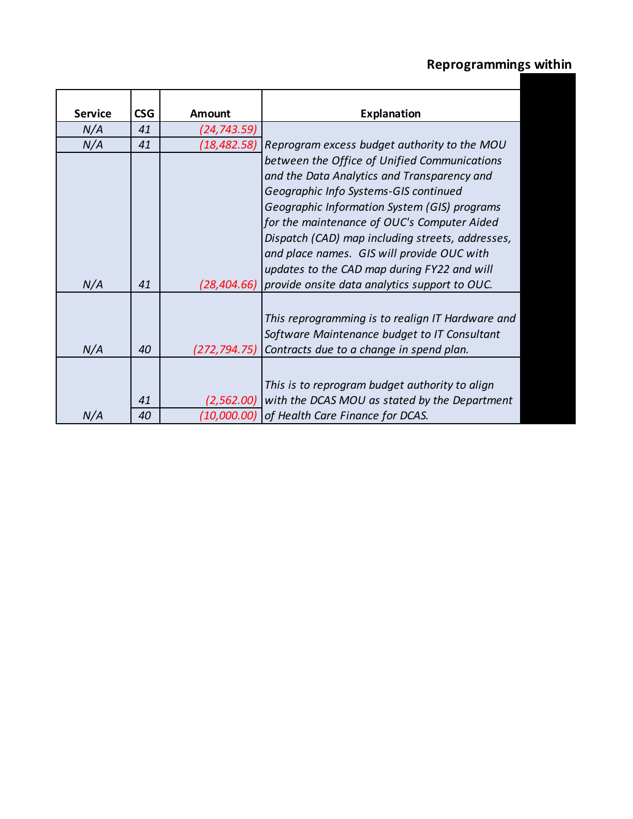| <b>Service</b> | CS <sub>G</sub> | Amount       | <b>Explanation</b>                               |
|----------------|-----------------|--------------|--------------------------------------------------|
| N/A            | 41              | (24,743.59)  |                                                  |
| N/A            | 41              | (18, 482.58) | Reprogram excess budget authority to the MOU     |
|                |                 |              | between the Office of Unified Communications     |
|                |                 |              | and the Data Analytics and Transparency and      |
|                |                 |              | Geographic Info Systems-GIS continued            |
|                |                 |              | Geographic Information System (GIS) programs     |
|                |                 |              | for the maintenance of OUC's Computer Aided      |
|                |                 |              | Dispatch (CAD) map including streets, addresses, |
|                |                 |              | and place names. GIS will provide OUC with       |
|                |                 |              | updates to the CAD map during FY22 and will      |
| N/A            | 41              | (28, 404.66) | provide onsite data analytics support to OUC.    |
|                |                 |              |                                                  |
|                |                 |              | This reprogramming is to realign IT Hardware and |
|                |                 |              | Software Maintenance budget to IT Consultant     |
| N/A            | 40              | (272,794.75) | Contracts due to a change in spend plan.         |
|                |                 |              |                                                  |
|                |                 |              | This is to reprogram budget authority to align   |
|                | 41              | (2,562.00)   | with the DCAS MOU as stated by the Department    |
| N/A            | 40              |              | (10,000.00) of Health Care Finance for DCAS.     |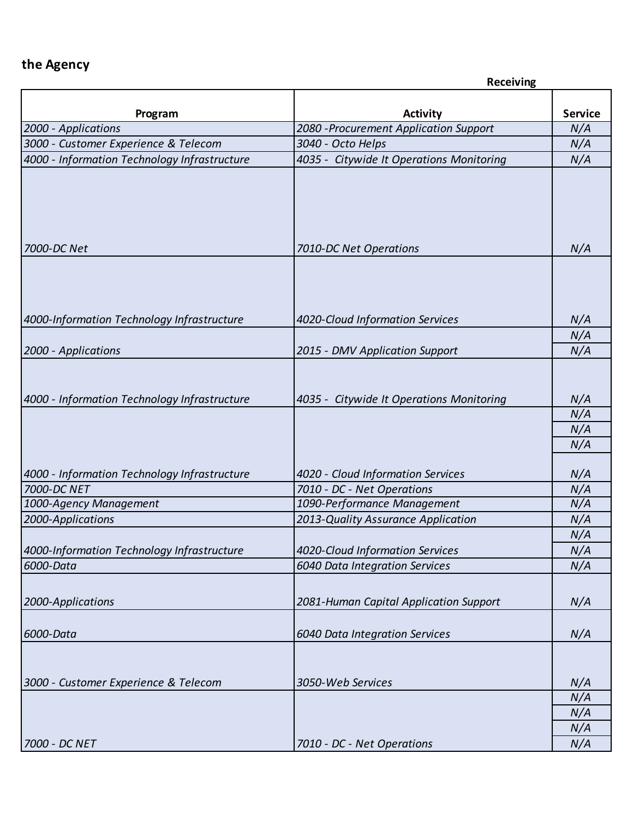|                                              | <b>Receiving</b>                                          |                |
|----------------------------------------------|-----------------------------------------------------------|----------------|
|                                              |                                                           | <b>Service</b> |
| Program<br>2000 - Applications               | <b>Activity</b><br>2080 - Procurement Application Support | N/A            |
| 3000 - Customer Experience & Telecom         | 3040 - Octo Helps                                         | N/A            |
| 4000 - Information Technology Infrastructure | 4035 - Citywide It Operations Monitoring                  | N/A            |
|                                              |                                                           |                |
| 7000-DC Net                                  | 7010-DC Net Operations                                    | N/A            |
| 4000-Information Technology Infrastructure   | 4020-Cloud Information Services                           | N/A            |
|                                              |                                                           | N/A            |
| 2000 - Applications                          | 2015 - DMV Application Support                            | N/A            |
| 4000 - Information Technology Infrastructure | 4035 - Citywide It Operations Monitoring                  | N/A<br>N/A     |
|                                              |                                                           | N/A            |
|                                              |                                                           | N/A            |
|                                              |                                                           |                |
| 4000 - Information Technology Infrastructure | 4020 - Cloud Information Services                         | N/A            |
| 7000-DC NET                                  | 7010 - DC - Net Operations                                | N/A            |
| 1000-Agency Management                       | 1090-Performance Management                               | N/A            |
| 2000-Applications                            | 2013-Quality Assurance Application                        | N/A            |
|                                              |                                                           | N/A            |
| 4000-Information Technology Infrastructure   | 4020-Cloud Information Services                           | N/A            |
| 6000-Data                                    | 6040 Data Integration Services                            | N/A            |
|                                              |                                                           |                |
| 2000-Applications                            | 2081-Human Capital Application Support                    | N/A            |
| 6000-Data                                    | 6040 Data Integration Services                            | N/A            |
| 3000 - Customer Experience & Telecom         | 3050-Web Services                                         | N/A            |
|                                              |                                                           | N/A            |
|                                              |                                                           | N/A            |
|                                              |                                                           | N/A            |
| 7000 - DC NET                                | 7010 - DC - Net Operations                                | N/A            |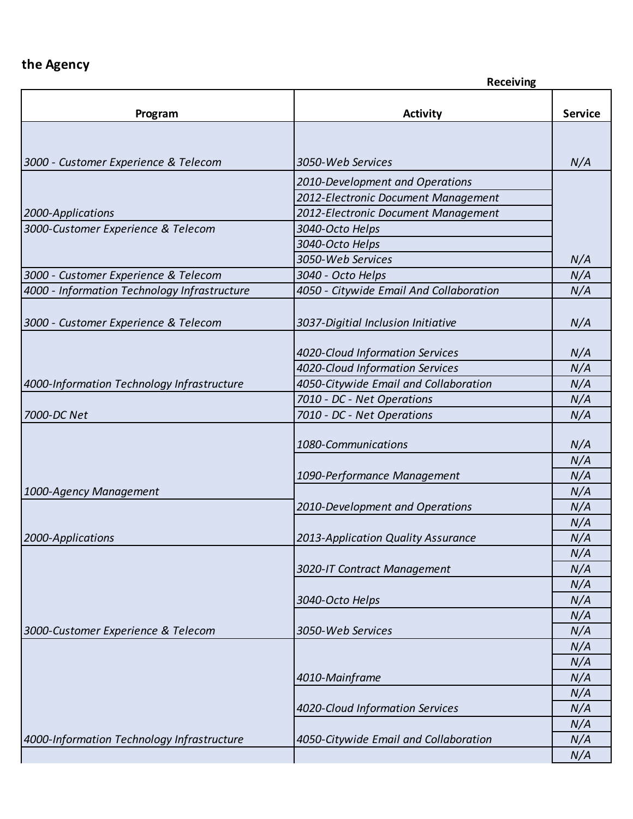|                                              | <b>Receiving</b>                        |                |  |
|----------------------------------------------|-----------------------------------------|----------------|--|
| Program                                      | <b>Activity</b>                         | <b>Service</b> |  |
|                                              |                                         |                |  |
|                                              |                                         |                |  |
| 3000 - Customer Experience & Telecom         | 3050-Web Services                       | N/A            |  |
|                                              | 2010-Development and Operations         |                |  |
|                                              | 2012-Electronic Document Management     |                |  |
| 2000-Applications                            | 2012-Electronic Document Management     |                |  |
| 3000-Customer Experience & Telecom           | 3040-Octo Helps                         |                |  |
|                                              | 3040-Octo Helps                         |                |  |
|                                              | 3050-Web Services                       | N/A            |  |
| 3000 - Customer Experience & Telecom         | 3040 - Octo Helps                       | N/A            |  |
| 4000 - Information Technology Infrastructure | 4050 - Citywide Email And Collaboration | N/A            |  |
|                                              |                                         |                |  |
| 3000 - Customer Experience & Telecom         | 3037-Digitial Inclusion Initiative      | N/A            |  |
|                                              |                                         |                |  |
|                                              | 4020-Cloud Information Services         | N/A            |  |
|                                              | 4020-Cloud Information Services         | N/A            |  |
| 4000-Information Technology Infrastructure   | 4050-Citywide Email and Collaboration   | N/A            |  |
|                                              | 7010 - DC - Net Operations              | N/A            |  |
| 7000-DC Net                                  | 7010 - DC - Net Operations              | N/A            |  |
|                                              |                                         |                |  |
|                                              | 1080-Communications                     | N/A            |  |
|                                              |                                         | N/A            |  |
|                                              | 1090-Performance Management             | N/A            |  |
| 1000-Agency Management                       |                                         | N/A            |  |
|                                              | 2010-Development and Operations         | N/A            |  |
|                                              |                                         | N/A            |  |
| 2000-Applications                            | 2013-Application Quality Assurance      | N/A            |  |
|                                              |                                         | N/A            |  |
|                                              | 3020-IT Contract Management             | N/A            |  |
|                                              |                                         | N/A            |  |
|                                              | 3040-Octo Helps                         | N/A            |  |
|                                              |                                         | N/A            |  |
| 3000-Customer Experience & Telecom           | 3050-Web Services                       | N/A            |  |
|                                              |                                         | N/A            |  |
|                                              |                                         | N/A            |  |
|                                              | 4010-Mainframe                          | N/A            |  |
|                                              |                                         | N/A            |  |
|                                              | 4020-Cloud Information Services         | N/A            |  |
|                                              |                                         | N/A            |  |
| 4000-Information Technology Infrastructure   | 4050-Citywide Email and Collaboration   | N/A            |  |
|                                              |                                         | N/A            |  |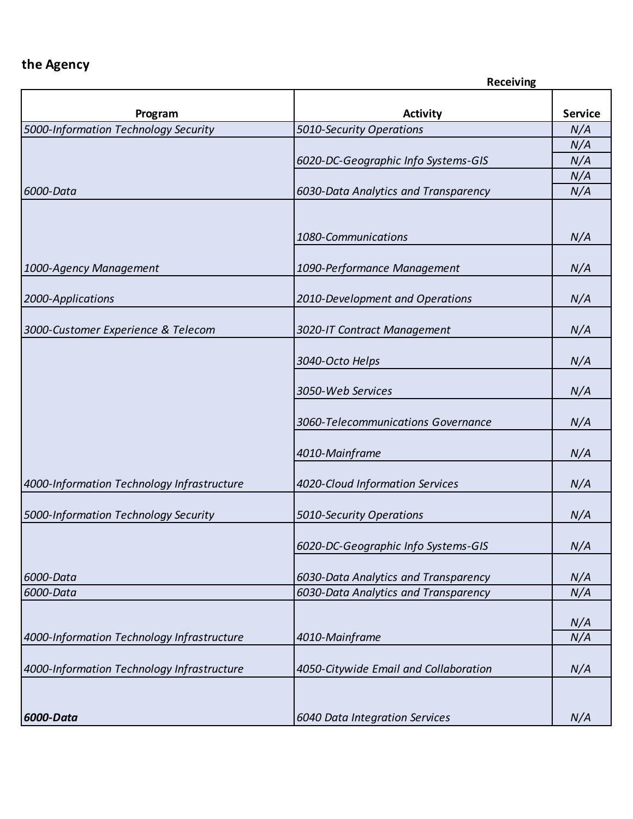|                                            | <b>Receiving</b>                      |                |
|--------------------------------------------|---------------------------------------|----------------|
| Program                                    | <b>Activity</b>                       | <b>Service</b> |
| 5000-Information Technology Security       | 5010-Security Operations              | N/A            |
|                                            |                                       | N/A            |
|                                            | 6020-DC-Geographic Info Systems-GIS   | N/A            |
|                                            |                                       | N/A            |
| 6000-Data                                  | 6030-Data Analytics and Transparency  | N/A            |
|                                            |                                       |                |
|                                            | 1080-Communications                   | N/A            |
|                                            |                                       |                |
| 1000-Agency Management                     | 1090-Performance Management           | N/A            |
|                                            |                                       |                |
| 2000-Applications                          | 2010-Development and Operations       | N/A            |
|                                            |                                       |                |
| 3000-Customer Experience & Telecom         | 3020-IT Contract Management           | N/A            |
|                                            | 3040-Octo Helps                       | N/A            |
|                                            |                                       |                |
|                                            | 3050-Web Services                     | N/A            |
|                                            |                                       |                |
|                                            | 3060-Telecommunications Governance    | N/A            |
|                                            |                                       |                |
|                                            | 4010-Mainframe                        | N/A            |
| 4000-Information Technology Infrastructure | 4020-Cloud Information Services       | N/A            |
|                                            |                                       |                |
| 5000-Information Technology Security       | 5010-Security Operations              | N/A            |
|                                            |                                       |                |
|                                            | 6020-DC-Geographic Info Systems-GIS   | N/A            |
|                                            |                                       |                |
| 6000-Data                                  | 6030-Data Analytics and Transparency  | N/A            |
| 6000-Data                                  | 6030-Data Analytics and Transparency  | N/A            |
|                                            |                                       | N/A            |
| 4000-Information Technology Infrastructure | 4010-Mainframe                        | N/A            |
|                                            |                                       |                |
| 4000-Information Technology Infrastructure | 4050-Citywide Email and Collaboration | N/A            |
|                                            |                                       |                |
|                                            |                                       |                |
| 6000-Data                                  | 6040 Data Integration Services        | N/A            |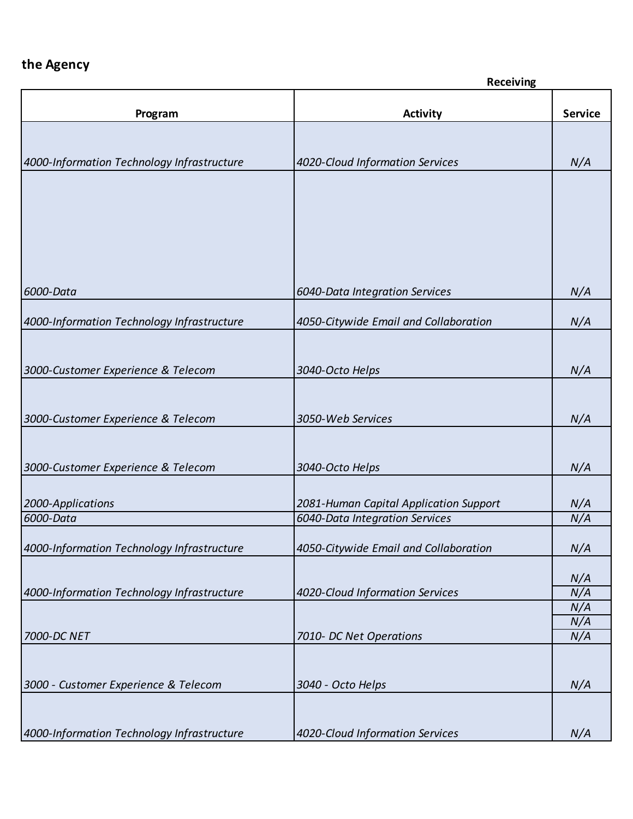|                                            | <b>Receiving</b>                                                         |                |
|--------------------------------------------|--------------------------------------------------------------------------|----------------|
| Program                                    | <b>Activity</b>                                                          | <b>Service</b> |
|                                            |                                                                          |                |
|                                            |                                                                          |                |
| 4000-Information Technology Infrastructure | 4020-Cloud Information Services                                          | N/A            |
|                                            |                                                                          |                |
|                                            |                                                                          |                |
|                                            |                                                                          |                |
|                                            |                                                                          |                |
|                                            |                                                                          |                |
|                                            |                                                                          |                |
| 6000-Data                                  | 6040-Data Integration Services                                           | N/A            |
|                                            |                                                                          |                |
| 4000-Information Technology Infrastructure | 4050-Citywide Email and Collaboration                                    | N/A            |
|                                            |                                                                          |                |
| 3000-Customer Experience & Telecom         | 3040-Octo Helps                                                          | N/A            |
|                                            |                                                                          |                |
|                                            |                                                                          |                |
| 3000-Customer Experience & Telecom         | 3050-Web Services                                                        | N/A            |
|                                            |                                                                          |                |
|                                            |                                                                          |                |
| 3000-Customer Experience & Telecom         | 3040-Octo Helps                                                          | N/A            |
|                                            |                                                                          |                |
| 2000-Applications<br>6000-Data             | 2081-Human Capital Application Support<br>6040-Data Integration Services | N/A<br>N/A     |
|                                            |                                                                          |                |
| 4000-Information Technology Infrastructure | 4050-Citywide Email and Collaboration                                    | N/A            |
|                                            |                                                                          |                |
| 4000-Information Technology Infrastructure | 4020-Cloud Information Services                                          | N/A<br>N/A     |
|                                            |                                                                          | N/A            |
|                                            |                                                                          | N/A            |
| 7000-DC NET                                | 7010- DC Net Operations                                                  | N/A            |
|                                            |                                                                          |                |
| 3000 - Customer Experience & Telecom       | 3040 - Octo Helps                                                        | N/A            |
|                                            |                                                                          |                |
|                                            |                                                                          |                |
| 4000-Information Technology Infrastructure | 4020-Cloud Information Services                                          | N/A            |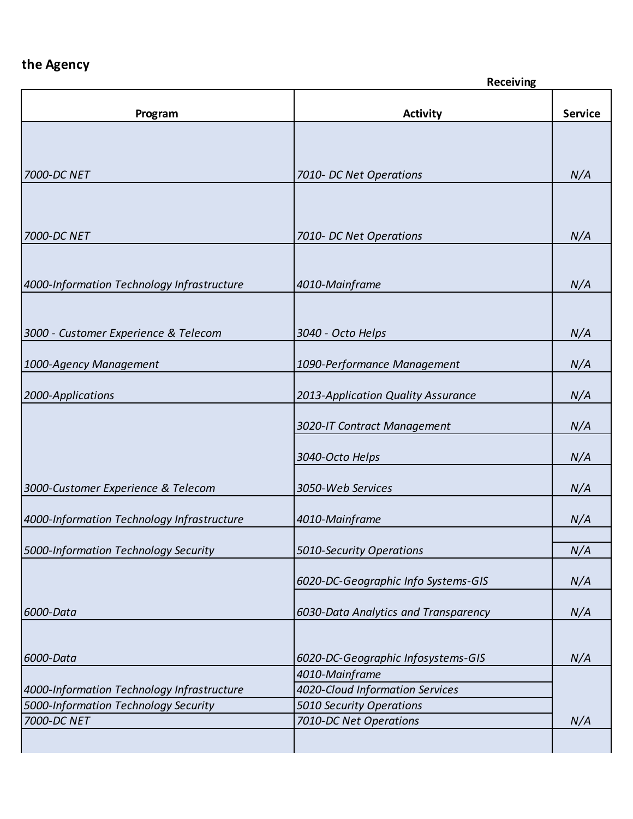|                                            | <b>Receiving</b>                     |                |
|--------------------------------------------|--------------------------------------|----------------|
| Program                                    | <b>Activity</b>                      | <b>Service</b> |
|                                            |                                      |                |
|                                            |                                      |                |
| 7000-DC NET                                | 7010- DC Net Operations              | N/A            |
|                                            |                                      |                |
|                                            |                                      |                |
| 7000-DC NET                                | 7010- DC Net Operations              | N/A            |
|                                            |                                      |                |
|                                            |                                      |                |
| 4000-Information Technology Infrastructure | 4010-Mainframe                       | N/A            |
|                                            |                                      |                |
| 3000 - Customer Experience & Telecom       | 3040 - Octo Helps                    | N/A            |
|                                            |                                      |                |
| 1000-Agency Management                     | 1090-Performance Management          | N/A            |
|                                            |                                      |                |
| 2000-Applications                          | 2013-Application Quality Assurance   | N/A            |
|                                            | 3020-IT Contract Management          | N/A            |
|                                            |                                      |                |
|                                            | 3040-Octo Helps                      | N/A            |
| 3000-Customer Experience & Telecom         | 3050-Web Services                    | N/A            |
|                                            |                                      |                |
| 4000-Information Technology Infrastructure | 4010-Mainframe                       | N/A            |
|                                            |                                      |                |
| 5000-Information Technology Security       | 5010-Security Operations             | N/A            |
|                                            | 6020-DC-Geographic Info Systems-GIS  | N/A            |
|                                            |                                      |                |
| 6000-Data                                  | 6030-Data Analytics and Transparency | N/A            |
|                                            |                                      |                |
| 6000-Data                                  | 6020-DC-Geographic Infosystems-GIS   | N/A            |
|                                            | 4010-Mainframe                       |                |
| 4000-Information Technology Infrastructure | 4020-Cloud Information Services      |                |
| 5000-Information Technology Security       | 5010 Security Operations             |                |
| 7000-DC NET                                | 7010-DC Net Operations               | N/A            |
|                                            |                                      |                |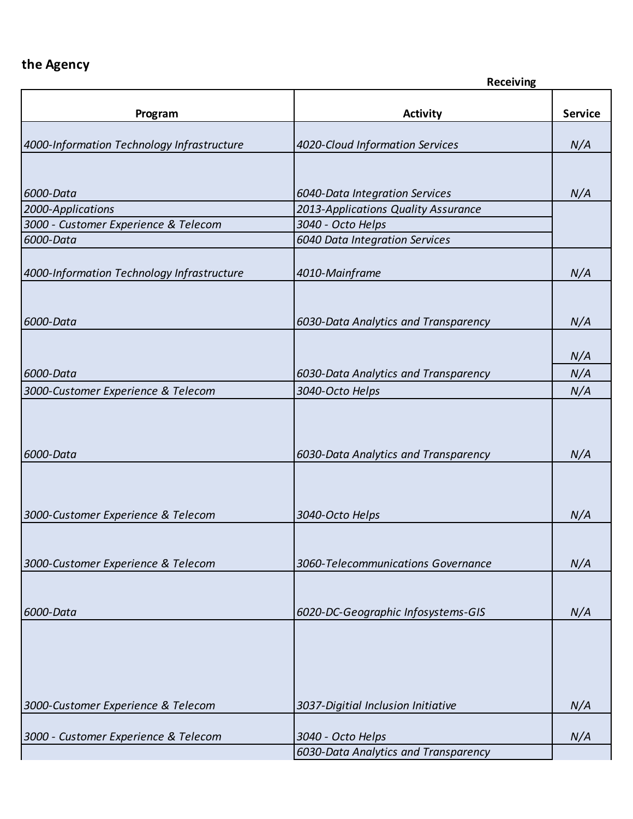|                                            | <b>Receiving</b>                                        |                |
|--------------------------------------------|---------------------------------------------------------|----------------|
| Program                                    | <b>Activity</b>                                         | <b>Service</b> |
| 4000-Information Technology Infrastructure | 4020-Cloud Information Services                         | N/A            |
|                                            |                                                         |                |
| 6000-Data                                  | 6040-Data Integration Services                          | N/A            |
| 2000-Applications                          | 2013-Applications Quality Assurance                     |                |
| 3000 - Customer Experience & Telecom       | 3040 - Octo Helps                                       |                |
| 6000-Data                                  | 6040 Data Integration Services                          |                |
| 4000-Information Technology Infrastructure | 4010-Mainframe                                          | N/A            |
|                                            |                                                         |                |
| 6000-Data                                  | 6030-Data Analytics and Transparency                    | N/A            |
|                                            |                                                         |                |
| 6000-Data                                  |                                                         | N/A<br>N/A     |
| 3000-Customer Experience & Telecom         | 6030-Data Analytics and Transparency<br>3040-Octo Helps | N/A            |
|                                            |                                                         |                |
|                                            |                                                         |                |
| 6000-Data                                  | 6030-Data Analytics and Transparency                    | N/A            |
|                                            |                                                         |                |
|                                            |                                                         |                |
| 3000-Customer Experience & Telecom         | 3040-Octo Helps                                         | N/A            |
|                                            |                                                         |                |
| 3000-Customer Experience & Telecom         | 3060-Telecommunications Governance                      | N/A            |
|                                            |                                                         |                |
| 6000-Data                                  | 6020-DC-Geographic Infosystems-GIS                      | N/A            |
|                                            |                                                         |                |
|                                            |                                                         |                |
|                                            |                                                         |                |
|                                            |                                                         |                |
| 3000-Customer Experience & Telecom         | 3037-Digitial Inclusion Initiative                      | N/A            |
| 3000 - Customer Experience & Telecom       | 3040 - Octo Helps                                       | N/A            |
|                                            | 6030-Data Analytics and Transparency                    |                |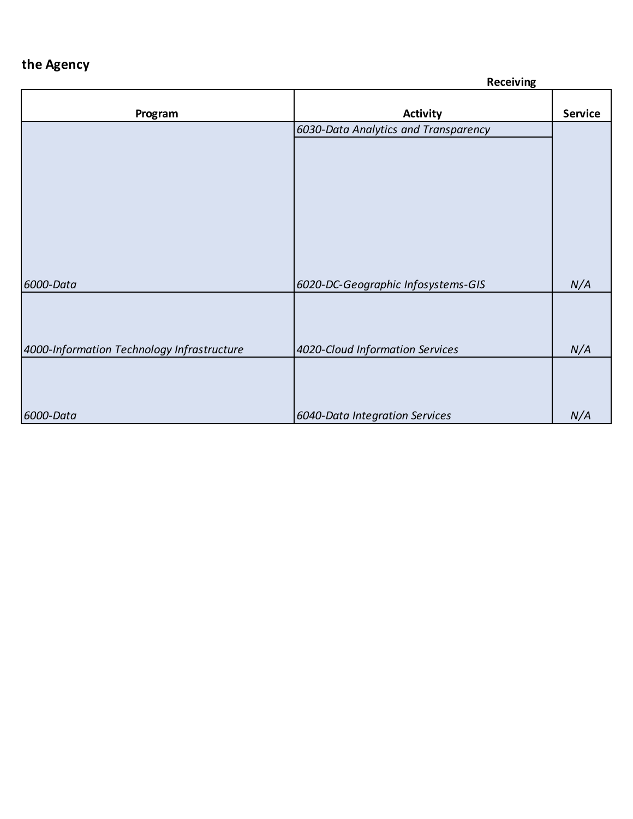|                                            | <b>Receiving</b>                     |                |
|--------------------------------------------|--------------------------------------|----------------|
| Program                                    | <b>Activity</b>                      | <b>Service</b> |
|                                            | 6030-Data Analytics and Transparency |                |
|                                            |                                      |                |
|                                            |                                      |                |
|                                            |                                      |                |
|                                            |                                      |                |
|                                            |                                      |                |
|                                            |                                      |                |
|                                            |                                      |                |
|                                            |                                      |                |
| 6000-Data                                  | 6020-DC-Geographic Infosystems-GIS   | N/A            |
|                                            |                                      |                |
|                                            |                                      |                |
|                                            |                                      |                |
| 4000-Information Technology Infrastructure | 4020-Cloud Information Services      | N/A            |
|                                            |                                      |                |
|                                            |                                      |                |
| 6000-Data                                  | 6040-Data Integration Services       | N/A            |
|                                            |                                      |                |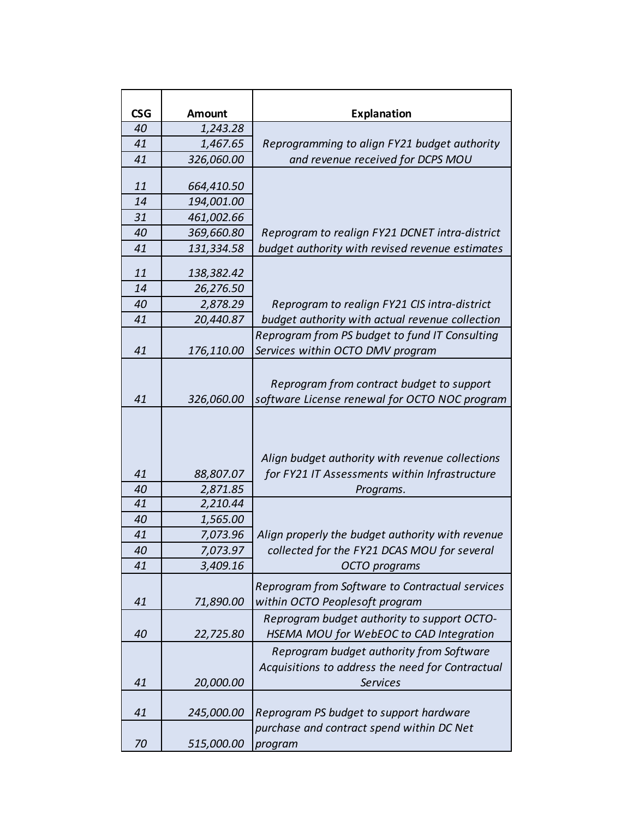| <b>CSG</b> | <b>Amount</b>         | <b>Explanation</b>                                                                                              |
|------------|-----------------------|-----------------------------------------------------------------------------------------------------------------|
| 40         | 1,243.28              |                                                                                                                 |
| 41         | 1,467.65              | Reprogramming to align FY21 budget authority                                                                    |
| 41         | 326,060.00            | and revenue received for DCPS MOU                                                                               |
|            |                       |                                                                                                                 |
| 11         | 664,410.50            |                                                                                                                 |
| 14         | 194,001.00            |                                                                                                                 |
| 31         | 461,002.66            |                                                                                                                 |
| 40         | 369,660.80            | Reprogram to realign FY21 DCNET intra-district                                                                  |
| 41         | 131,334.58            | budget authority with revised revenue estimates                                                                 |
| 11         | 138,382.42            |                                                                                                                 |
| 14         | 26,276.50             |                                                                                                                 |
| 40         | 2,878.29              | Reprogram to realign FY21 CIS intra-district                                                                    |
| 41         | 20,440.87             | budget authority with actual revenue collection                                                                 |
|            |                       | Reprogram from PS budget to fund IT Consulting                                                                  |
| 41         | 176,110.00            | Services within OCTO DMV program                                                                                |
| 41         | 326,060.00            | Reprogram from contract budget to support<br>software License renewal for OCTO NOC program                      |
| 41<br>40   | 88,807.07<br>2,871.85 | Align budget authority with revenue collections<br>for FY21 IT Assessments within Infrastructure<br>Programs.   |
| 41         | 2,210.44              |                                                                                                                 |
| 40         | 1,565.00              |                                                                                                                 |
| 41         | 7,073.96              | Align properly the budget authority with revenue                                                                |
| 40         | 7,073.97              | collected for the FY21 DCAS MOU for several                                                                     |
| 41         | 3,409.16              | OCTO programs                                                                                                   |
| 41         | 71,890.00             | Reprogram from Software to Contractual services<br>within OCTO Peoplesoft program                               |
|            |                       | Reprogram budget authority to support OCTO-                                                                     |
| 40         | 22,725.80             | HSEMA MOU for WebEOC to CAD Integration                                                                         |
| 41         | 20,000.00             | Reprogram budget authority from Software<br>Acquisitions to address the need for Contractual<br><b>Services</b> |
|            |                       |                                                                                                                 |
| 41         | 245,000.00            | Reprogram PS budget to support hardware<br>purchase and contract spend within DC Net                            |
| 70         | 515,000.00            | program                                                                                                         |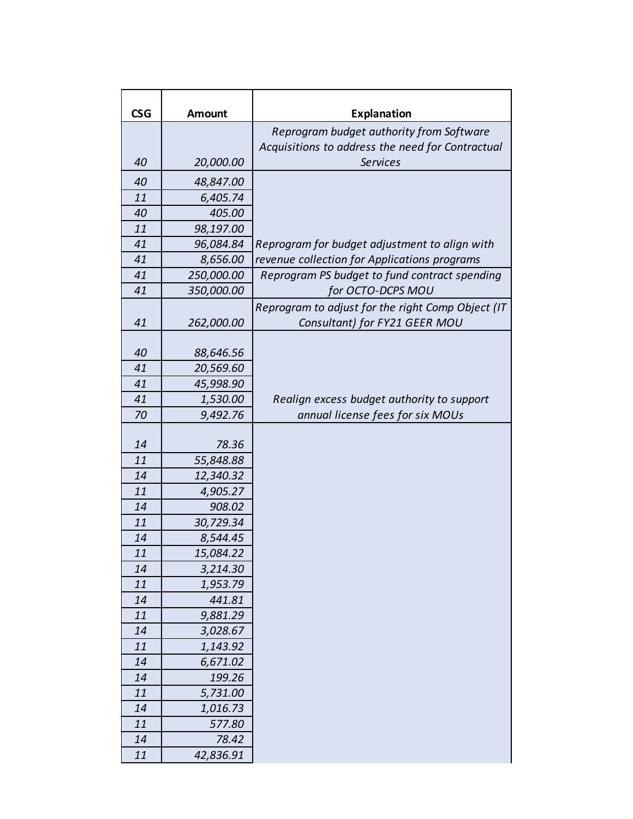| <b>CSG</b> | <b>Amount</b> | <b>Explanation</b>                                |
|------------|---------------|---------------------------------------------------|
|            |               | Reprogram budget authority from Software          |
|            |               | Acquisitions to address the need for Contractual  |
| 40         | 20,000.00     | <b>Services</b>                                   |
| 40         | 48,847.00     |                                                   |
| 11         | 6,405.74      |                                                   |
| 40         | 405.00        |                                                   |
| 11         | 98,197.00     |                                                   |
| 41         | 96,084.84     | Reprogram for budget adjustment to align with     |
| 41         | 8,656.00      | revenue collection for Applications programs      |
| 41         | 250,000.00    | Reprogram PS budget to fund contract spending     |
| 41         | 350,000.00    | for OCTO-DCPS MOU                                 |
|            |               | Reprogram to adjust for the right Comp Object (IT |
| 41         | 262,000.00    | Consultant) for FY21 GEER MOU                     |
|            |               |                                                   |
| 40         | 88,646.56     |                                                   |
| 41         | 20,569.60     |                                                   |
| 41         | 45,998.90     |                                                   |
| 41         | 1,530.00      | Realign excess budget authority to support        |
| 70         | 9,492.76      | annual license fees for six MOUs                  |
|            |               |                                                   |
| 14         | 78.36         |                                                   |
| 11         | 55,848.88     |                                                   |
| 14         | 12,340.32     |                                                   |
| 11         | 4,905.27      |                                                   |
| 14         | 908.02        |                                                   |
| 11         | 30,729.34     |                                                   |
| 14         | 8,544.45      |                                                   |
| 11         | 15,084.22     |                                                   |
| 14         | 3,214.30      |                                                   |
| 11         | 1,953.79      |                                                   |
| 14         | 441.81        |                                                   |
| 11         | 9,881.29      |                                                   |
| 14         | 3,028.67      |                                                   |
| 11         | 1,143.92      |                                                   |
| 14         | 6,671.02      |                                                   |
| 14         | 199.26        |                                                   |
| 11         | 5,731.00      |                                                   |
| 14         | 1,016.73      |                                                   |
| 11         | 577.80        |                                                   |
| 14         | 78.42         |                                                   |
| 11         | 42,836.91     |                                                   |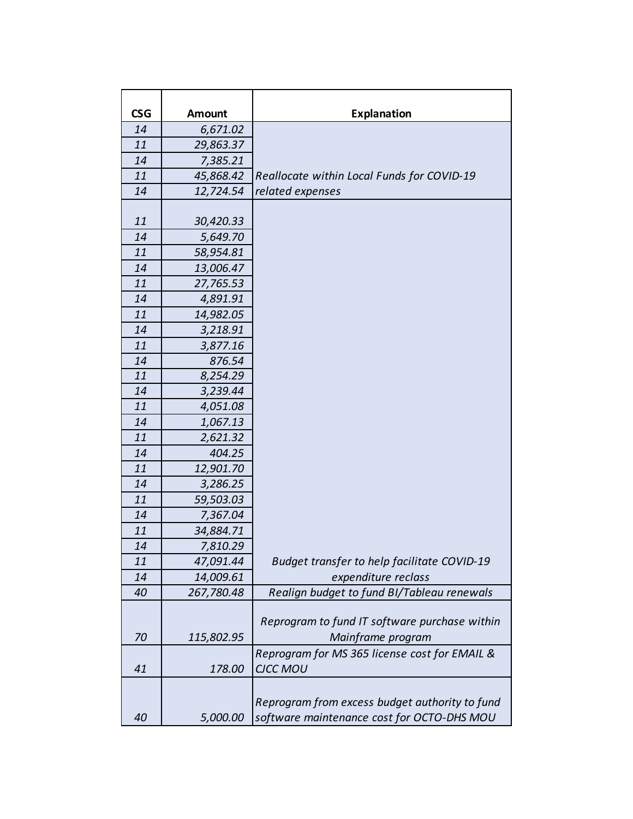| <b>CSG</b> | <b>Amount</b> | <b>Explanation</b>                                                                           |
|------------|---------------|----------------------------------------------------------------------------------------------|
| 14         | 6,671.02      |                                                                                              |
| 11         | 29,863.37     |                                                                                              |
| 14         | 7,385.21      |                                                                                              |
| 11         | 45,868.42     | Reallocate within Local Funds for COVID-19                                                   |
| 14         | 12,724.54     | related expenses                                                                             |
|            |               |                                                                                              |
| 11         | 30,420.33     |                                                                                              |
| 14         | 5,649.70      |                                                                                              |
| 11         | 58,954.81     |                                                                                              |
| 14         | 13,006.47     |                                                                                              |
| 11         | 27,765.53     |                                                                                              |
| 14         | 4,891.91      |                                                                                              |
| 11         | 14,982.05     |                                                                                              |
| 14         | 3,218.91      |                                                                                              |
| 11         | 3,877.16      |                                                                                              |
| 14         | 876.54        |                                                                                              |
| 11         | 8,254.29      |                                                                                              |
| 14         | 3,239.44      |                                                                                              |
| 11         | 4,051.08      |                                                                                              |
| 14         | 1,067.13      |                                                                                              |
| 11         | 2,621.32      |                                                                                              |
| 14         | 404.25        |                                                                                              |
| 11         | 12,901.70     |                                                                                              |
| 14         | 3,286.25      |                                                                                              |
| 11         | 59,503.03     |                                                                                              |
| 14         | 7,367.04      |                                                                                              |
| 11         | 34,884.71     |                                                                                              |
| 14         | 7,810.29      |                                                                                              |
| 11         | 47,091.44     | Budget transfer to help facilitate COVID-19                                                  |
| 14         | 14,009.61     | expenditure reclass                                                                          |
| 40         | 267,780.48    | Realign budget to fund BI/Tableau renewals                                                   |
|            |               | Reprogram to fund IT software purchase within                                                |
| 70         | 115,802.95    | Mainframe program                                                                            |
|            |               | Reprogram for MS 365 license cost for EMAIL &                                                |
| 41         | 178.00        | <b>CJCC MOU</b>                                                                              |
| 40         | 5,000.00      | Reprogram from excess budget authority to fund<br>software maintenance cost for OCTO-DHS MOU |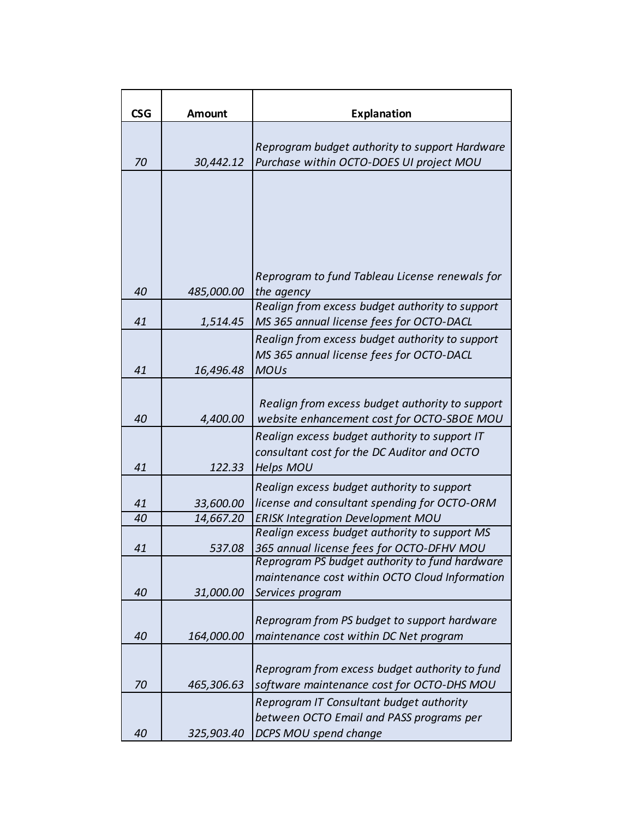| <b>CSG</b> | <b>Amount</b>          | <b>Explanation</b>                                                                            |  |  |
|------------|------------------------|-----------------------------------------------------------------------------------------------|--|--|
|            |                        | Reprogram budget authority to support Hardware                                                |  |  |
| 70         | 30,442.12              | Purchase within OCTO-DOES UI project MOU                                                      |  |  |
|            |                        |                                                                                               |  |  |
|            |                        |                                                                                               |  |  |
|            |                        |                                                                                               |  |  |
|            |                        | Reprogram to fund Tableau License renewals for                                                |  |  |
| 40         | 485,000.00             | the agency                                                                                    |  |  |
| 41         | 1,514.45               | Realign from excess budget authority to support<br>MS 365 annual license fees for OCTO-DACL   |  |  |
|            |                        | Realign from excess budget authority to support                                               |  |  |
| 41         | 16,496.48              | MS 365 annual license fees for OCTO-DACL<br><b>MOUs</b>                                       |  |  |
|            |                        |                                                                                               |  |  |
| 40         | 4,400.00               | Realign from excess budget authority to support<br>website enhancement cost for OCTO-SBOE MOU |  |  |
|            |                        | Realign excess budget authority to support IT<br>consultant cost for the DC Auditor and OCTO  |  |  |
| 41         | 122.33                 | <b>Helps MOU</b>                                                                              |  |  |
|            |                        | Realign excess budget authority to support                                                    |  |  |
| 41<br>40   | 33,600.00<br>14,667.20 | license and consultant spending for OCTO-ORM<br><b>ERISK Integration Development MOU</b>      |  |  |
| 41         | 537.08                 | Realign excess budget authority to support MS<br>365 annual license fees for OCTO-DFHV MOU    |  |  |
|            |                        | Reprogram PS budget authority to fund hardware                                                |  |  |
|            |                        | maintenance cost within OCTO Cloud Information                                                |  |  |
| 40         | 31,000.00              | Services program                                                                              |  |  |
|            |                        | Reprogram from PS budget to support hardware                                                  |  |  |
| 40         | 164,000.00             | maintenance cost within DC Net program                                                        |  |  |
|            |                        |                                                                                               |  |  |
| 70         | 465,306.63             | Reprogram from excess budget authority to fund<br>software maintenance cost for OCTO-DHS MOU  |  |  |
|            |                        | Reprogram IT Consultant budget authority                                                      |  |  |
|            |                        | between OCTO Email and PASS programs per                                                      |  |  |
| 40         | 325,903.40             | DCPS MOU spend change                                                                         |  |  |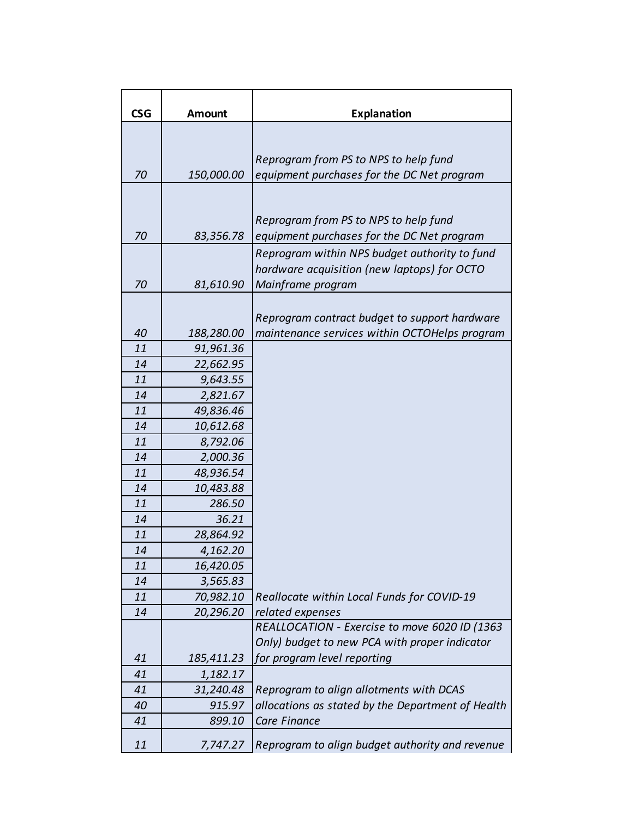| <b>CSG</b> | <b>Amount</b> | <b>Explanation</b>                                |  |
|------------|---------------|---------------------------------------------------|--|
|            |               |                                                   |  |
|            |               |                                                   |  |
|            |               | Reprogram from PS to NPS to help fund             |  |
| 70         | 150,000.00    | equipment purchases for the DC Net program        |  |
|            |               |                                                   |  |
|            |               | Reprogram from PS to NPS to help fund             |  |
| 70         | 83,356.78     | equipment purchases for the DC Net program        |  |
|            |               | Reprogram within NPS budget authority to fund     |  |
|            |               | hardware acquisition (new laptops) for OCTO       |  |
| 70         | 81,610.90     | Mainframe program                                 |  |
|            |               |                                                   |  |
|            |               | Reprogram contract budget to support hardware     |  |
| 40         | 188,280.00    | maintenance services within OCTOHelps program     |  |
| 11         | 91,961.36     |                                                   |  |
| 14         | 22,662.95     |                                                   |  |
| 11         | 9,643.55      |                                                   |  |
| 14         | 2,821.67      |                                                   |  |
| 11         | 49,836.46     |                                                   |  |
| 14         | 10,612.68     |                                                   |  |
| 11         | 8,792.06      |                                                   |  |
| 14         | 2,000.36      |                                                   |  |
| 11         | 48,936.54     |                                                   |  |
| 14         | 10,483.88     |                                                   |  |
| 11         | 286.50        |                                                   |  |
| 14         | 36.21         |                                                   |  |
| 11         | 28,864.92     |                                                   |  |
| 14         | 4,162.20      |                                                   |  |
| 11         | 16,420.05     |                                                   |  |
| 14         | 3,565.83      |                                                   |  |
| 11         | 70,982.10     | Reallocate within Local Funds for COVID-19        |  |
| 14         | 20,296.20     | related expenses                                  |  |
|            |               | REALLOCATION - Exercise to move 6020 ID (1363     |  |
|            |               | Only) budget to new PCA with proper indicator     |  |
| 41         | 185,411.23    | for program level reporting                       |  |
| 41         | 1,182.17      |                                                   |  |
| 41         | 31,240.48     | Reprogram to align allotments with DCAS           |  |
| 40         | 915.97        | allocations as stated by the Department of Health |  |
| 41         | 899.10        | Care Finance                                      |  |
| 11         | 7,747.27      | Reprogram to align budget authority and revenue   |  |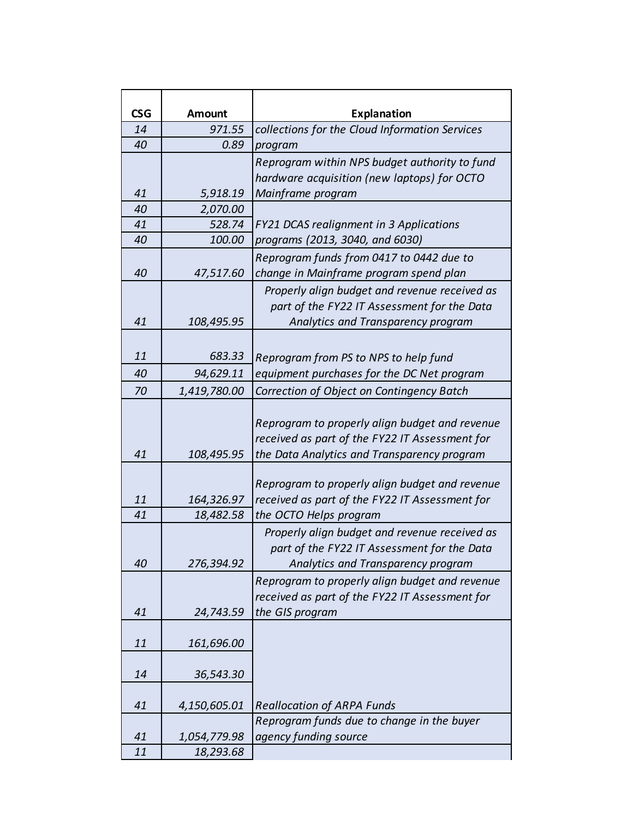| <b>CSG</b> | <b>Amount</b>           | <b>Explanation</b>                                                                                                                              |  |  |  |
|------------|-------------------------|-------------------------------------------------------------------------------------------------------------------------------------------------|--|--|--|
| 14         | 971.55                  | collections for the Cloud Information Services                                                                                                  |  |  |  |
| 40         | 0.89                    | program                                                                                                                                         |  |  |  |
|            |                         | Reprogram within NPS budget authority to fund                                                                                                   |  |  |  |
|            |                         | hardware acquisition (new laptops) for OCTO                                                                                                     |  |  |  |
| 41         | 5,918.19                | Mainframe program                                                                                                                               |  |  |  |
| 40         | 2,070.00                |                                                                                                                                                 |  |  |  |
| 41         | 528.74                  | FY21 DCAS realignment in 3 Applications                                                                                                         |  |  |  |
| 40         | 100.00                  | programs (2013, 3040, and 6030)                                                                                                                 |  |  |  |
|            |                         | Reprogram funds from 0417 to 0442 due to                                                                                                        |  |  |  |
| 40         | 47,517.60               | change in Mainframe program spend plan                                                                                                          |  |  |  |
|            |                         | Properly align budget and revenue received as                                                                                                   |  |  |  |
|            |                         | part of the FY22 IT Assessment for the Data                                                                                                     |  |  |  |
| 41         | 108,495.95              | Analytics and Transparency program                                                                                                              |  |  |  |
|            |                         |                                                                                                                                                 |  |  |  |
| 11         | 683.33                  | Reprogram from PS to NPS to help fund                                                                                                           |  |  |  |
| 40         | 94,629.11               | equipment purchases for the DC Net program                                                                                                      |  |  |  |
| 70         | 1,419,780.00            | Correction of Object on Contingency Batch                                                                                                       |  |  |  |
| 41         | 108,495.95              | Reprogram to properly align budget and revenue<br>received as part of the FY22 IT Assessment for<br>the Data Analytics and Transparency program |  |  |  |
| 11         |                         | Reprogram to properly align budget and revenue<br>received as part of the FY22 IT Assessment for                                                |  |  |  |
| 41         | 164,326.97<br>18,482.58 | the OCTO Helps program                                                                                                                          |  |  |  |
| 40         | 276,394.92              | Properly align budget and revenue received as<br>part of the FY22 IT Assessment for the Data<br>Analytics and Transparency program              |  |  |  |
|            |                         | Reprogram to properly align budget and revenue<br>received as part of the FY22 IT Assessment for                                                |  |  |  |
| 41         | 24,743.59               | the GIS program                                                                                                                                 |  |  |  |
| 11         | 161,696.00              |                                                                                                                                                 |  |  |  |
| 14         | 36,543.30               |                                                                                                                                                 |  |  |  |
| 41         | 4,150,605.01            | <b>Reallocation of ARPA Funds</b>                                                                                                               |  |  |  |
|            |                         | Reprogram funds due to change in the buyer                                                                                                      |  |  |  |
| 41         | 1,054,779.98            | agency funding source                                                                                                                           |  |  |  |
| 11         | 18,293.68               |                                                                                                                                                 |  |  |  |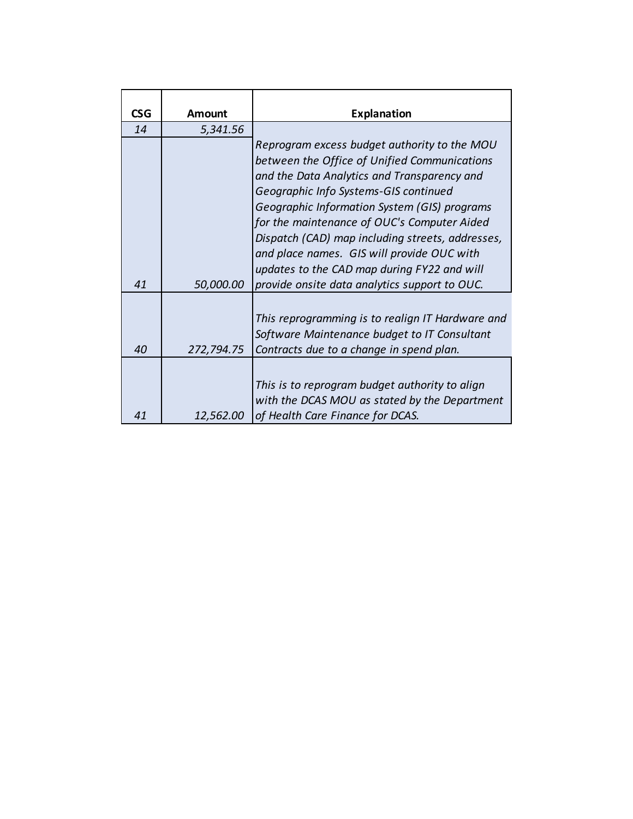| <b>CSG</b> | Amount     | <b>Explanation</b>                                                                                                                                                                                                                                                                                                                                                                                                                   |
|------------|------------|--------------------------------------------------------------------------------------------------------------------------------------------------------------------------------------------------------------------------------------------------------------------------------------------------------------------------------------------------------------------------------------------------------------------------------------|
| 14         | 5,341.56   |                                                                                                                                                                                                                                                                                                                                                                                                                                      |
|            |            | Reprogram excess budget authority to the MOU<br>between the Office of Unified Communications<br>and the Data Analytics and Transparency and<br>Geographic Info Systems-GIS continued<br>Geographic Information System (GIS) programs<br>for the maintenance of OUC's Computer Aided<br>Dispatch (CAD) map including streets, addresses,<br>and place names. GIS will provide OUC with<br>updates to the CAD map during FY22 and will |
| 41         | 50,000.00  | provide onsite data analytics support to OUC.                                                                                                                                                                                                                                                                                                                                                                                        |
| 40         | 272,794.75 | This reprogramming is to realign IT Hardware and<br>Software Maintenance budget to IT Consultant<br>Contracts due to a change in spend plan.                                                                                                                                                                                                                                                                                         |
| 41         | 12,562.00  | This is to reprogram budget authority to align<br>with the DCAS MOU as stated by the Department<br>of Health Care Finance for DCAS.                                                                                                                                                                                                                                                                                                  |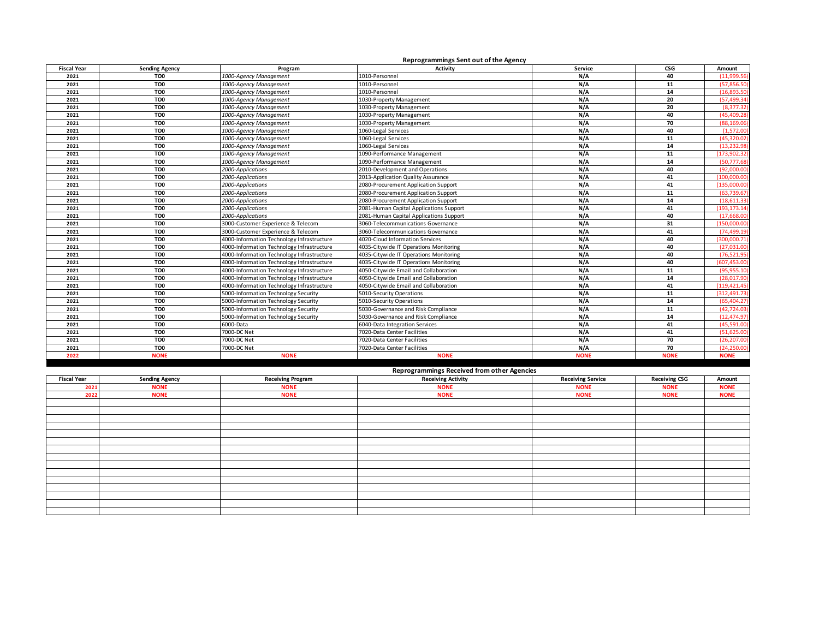|                    |                       |                                            | Reprogrammings Sent out of the Agency   |             |                 |               |
|--------------------|-----------------------|--------------------------------------------|-----------------------------------------|-------------|-----------------|---------------|
| <b>Fiscal Year</b> | <b>Sending Agency</b> | Program                                    | Activity                                | Service     | CS <sub>G</sub> | Amount        |
| 2021               | TO <sub>0</sub>       | 1000-Agency Management                     | 1010-Personnel                          | N/A         | 40              | (11,999.56)   |
| 2021               | TO <sub>0</sub>       | 1000-Agency Management                     | 1010-Personnel                          | N/A         | 11              | (57, 856.50)  |
| 2021               | TO0                   | 1000-Agency Management                     | 1010-Personnel                          | N/A         | 14              | (16,893.50)   |
| 2021               | TO <sub>0</sub>       | 1000-Agency Management                     | 1030-Property Management                | N/A         | 20              | (57, 499.34)  |
| 2021               | TO0                   | 1000-Agency Management                     | 1030-Property Management                | N/A         | 20              | (8, 377.32)   |
| 2021               | TO <sub>0</sub>       | 1000-Agency Management                     | 1030-Property Management                | N/A         | 40              | (45, 409.28)  |
| 2021               | TO <sub>0</sub>       | 1000-Agency Management                     | 1030-Property Management                | N/A         | 70              | (88, 169.06)  |
| 2021               | TO <sub>0</sub>       | 1000-Agency Management                     | 1060-Legal Services                     | N/A         | 40              | (1,572.00)    |
| 2021               | TO0                   | 1000-Agency Management                     | 1060-Legal Services                     | N/A         | 11              | (45, 320.02)  |
| 2021               | TO0                   | 1000-Agency Management                     | 1060-Legal Services                     | N/A         | 14              | (13, 232.98)  |
| 2021               | TO0                   | 1000-Agency Management                     | 1090-Performance Management             | N/A         | 11              | (173, 902.32) |
| 2021               | TO <sub>0</sub>       | 1000-Agency Management                     | 1090-Performance Management             | N/A         | 14              | (50, 777.68)  |
| 2021               | TO0                   | 2000-Applications                          | 2010-Development and Operations         | N/A         | 40              | (92,000.00)   |
| 2021               | TO0                   | 2000-Applications                          | 2013-Application Quality Assurance      | N/A         | 41              | (100,000.00)  |
| 2021               | TO0                   | 2000-Applications                          | 2080-Procurement Application Support    | N/A         | 41              | (135.000.00)  |
| 2021               | TO <sub>0</sub>       | 2000-Applications                          | 2080-Procurement Application Support    | N/A         | 11              | (63, 739.67)  |
| 2021               | TO <sub>0</sub>       | 2000-Applications                          | 2080-Procurement Application Support    | N/A         | 14              | (18,611.33)   |
| 2021               | TO <sub>0</sub>       | 2000-Applications                          | 2081-Human Capital Applications Support | N/A         | 41              | (193, 173.14) |
| 2021               | TO0                   | 2000-Applications                          | 2081-Human Capital Applications Support | N/A         | 40              | (17,668.00)   |
| 2021               | TO <sub>0</sub>       | 3000-Customer Experience & Telecom         | 3060-Telecommunications Governance      | N/A         | 31              | (150,000.00)  |
| 2021               | TO0                   | 3000-Customer Experience & Telecom         | 3060-Telecommunications Governance      | N/A         | 41              | (74, 499.19)  |
| 2021               | TO <sub>0</sub>       | 4000-Information Technology Infrastructure | 4020-Cloud Information Services         | N/A         | 40              | (300,000.71)  |
| 2021               | TO <sub>0</sub>       | 4000-Information Technology Infrastructure | 4035-Citywide IT Operations Monitoring  | N/A         | 40              | (27,031.00)   |
| 2021               | TO <sub>0</sub>       | 4000-Information Technology Infrastructure | 4035-Citywide IT Operations Monitoring  | N/A         | 40              | (76, 521.95)  |
| 2021               | TO0                   | 4000-Information Technology Infrastructure | 4035-Citywide IT Operations Monitoring  | N/A         | 40              | (607, 453.00) |
| 2021               | TO0                   | 4000-Information Technology Infrastructure | 4050-Citywide Email and Collaboration   | N/A         | 11              | (95, 955.10)  |
| 2021               | TO0                   | 4000-Information Technology Infrastructure | 4050-Citywide Email and Collaboration   | N/A         | 14              | (28,017.90)   |
| 2021               | TO <sub>0</sub>       | 4000-Information Technology Infrastructure | 4050-Citywide Email and Collaboration   | N/A         | 41              | (119, 421.45) |
| 2021               | TO0                   | 5000-Information Technology Security       | 5010-Security Operations                | N/A         | 11              | (312, 491.73) |
| 2021               | TO <sub>0</sub>       | 5000-Information Technology Security       | 5010-Security Operations                | N/A         | 14              | (65, 404.27)  |
| 2021               | TO0                   | 5000-Information Technology Security       | 5030-Governance and Risk Compliance     | N/A         | 11              | (42, 724.03)  |
| 2021               | TO <sub>0</sub>       | 5000-Information Technology Security       | 5030-Governance and Risk Compliance     | N/A         | 14              | (12, 474.97)  |
| 2021               | TO <sub>0</sub>       | 6000-Data                                  | 6040-Data Integration Services          | N/A         | 41              | (45,591.00)   |
| 2021               | TO <sub>0</sub>       | 7000-DC Net                                | 7020-Data Center Facilities             | N/A         | 41              | (51, 625.00)  |
| 2021               | TO0                   | 7000-DC Net                                | 7020-Data Center Facilities             | N/A         | 70              | (26, 207.00)  |
| 2021               | TO <sub>0</sub>       | 7000-DC Net                                | 7020-Data Center Facilities             | N/A         | 70              | (24.250.00)   |
| 2022               | <b>NONE</b>           | <b>NONE</b>                                | <b>NONE</b>                             | <b>NONE</b> | <b>NONE</b>     | <b>NONE</b>   |

## **Reprogrammings Received from other Agencies**

| <b>Fiscal Year</b> | <b>Sending Agency</b> | <b>Receiving Program</b> | <b>Receiving Activity</b> | <b>Receiving Service</b> | <b>Receiving CSG</b> | Amount      |
|--------------------|-----------------------|--------------------------|---------------------------|--------------------------|----------------------|-------------|
| 2021               | <b>NONE</b>           | <b>NONE</b>              | <b>NONE</b>               | <b>NONE</b>              | <b>NONE</b>          | <b>NONE</b> |
| 2022               | <b>NONE</b>           | <b>NONE</b>              | <b>NONE</b>               | <b>NONE</b>              | <b>NONE</b>          | <b>NONE</b> |
|                    |                       |                          |                           |                          |                      |             |
|                    |                       |                          |                           |                          |                      |             |
|                    |                       |                          |                           |                          |                      |             |
|                    |                       |                          |                           |                          |                      |             |
|                    |                       |                          |                           |                          |                      |             |
|                    |                       |                          |                           |                          |                      |             |
|                    |                       |                          |                           |                          |                      |             |
|                    |                       |                          |                           |                          |                      |             |
|                    |                       |                          |                           |                          |                      |             |
|                    |                       |                          |                           |                          |                      |             |
|                    |                       |                          |                           |                          |                      |             |
|                    |                       |                          |                           |                          |                      |             |
|                    |                       |                          |                           |                          |                      |             |
|                    |                       |                          |                           |                          |                      |             |
|                    |                       |                          |                           |                          |                      |             |